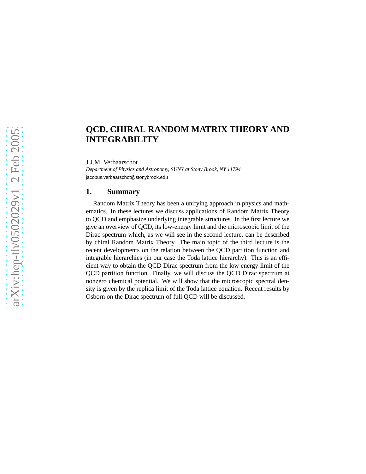# **QCD, CHIRAL RANDOM MATRIX THEORY AND INTEGRABILITY**

J.J.M. Verbaarschot *Department of Physics and Astronomy, SUNY at Stony Brook, NY 11794* jacobus.verbaarschot@stonybrook.edu

#### **1. Summary**

Random Matrix Theory has been a unifying approach in physics and mathematics. In these lectures we discuss applications of Random Matrix Theory to QCD and emphasize underlying integrable structures. In the first lecture we give an overview of QCD, its low-energy limit and the microscopic limit of the Dirac spectrum which, as we will see in the second lecture, can be described by chiral Random Matrix Theory. The main topic of the third lecture is the recent developments on the relation between the QCD partition function and integrable hierarchies (in our case the Toda lattice hierarchy). This is an efficient way to obtain the QCD Dirac spectrum from the low energy limit of the QCD partition function. Finally, we will discuss the QCD Dirac spectrum at nonzero chemical potential. We will show that the microscopic spectral density is given by the replica limit of the Toda lattice equation. Recent results by Osborn on the Dirac spectrum of full QCD will be discussed.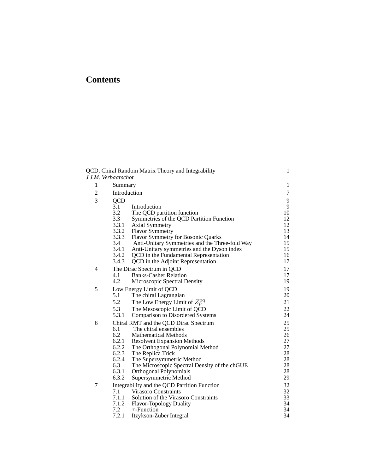# **Contents**

| 1              | J.J.M. Verbaarschot<br>Summary                                                                         | $\mathbf{1}$ |
|----------------|--------------------------------------------------------------------------------------------------------|--------------|
| $\overline{c}$ | Introduction                                                                                           | 7            |
| 3              | <b>QCD</b>                                                                                             | 9            |
|                | 3.1<br>Introduction                                                                                    | 9            |
|                | 3.2<br>The QCD partition function                                                                      | 10           |
|                | 3.3<br>Symmetries of the QCD Partition Function                                                        | 12           |
|                | 3.3.1<br><b>Axial Symmetry</b>                                                                         | 12           |
|                | 3.3.2<br><b>Flavor Symmetry</b>                                                                        | 13           |
|                | 3.3.3<br>Flavor Symmetry for Bosonic Quarks                                                            | 14           |
|                | 3.4<br>Anti-Unitary Symmetries and the Three-fold Way                                                  | 15           |
|                | 3.4.1<br>Anti-Unitary symmetries and the Dyson index<br>3.4.2<br>QCD in the Fundamental Representation | 15<br>16     |
|                | 3.4.3<br>QCD in the Adjoint Representation                                                             | 17           |
| 4              |                                                                                                        | 17           |
|                | The Dirac Spectrum in QCD<br>4.1<br><b>Banks-Casher Relation</b>                                       | 17           |
|                | 4.2<br>Microscopic Spectral Density                                                                    | 19           |
| 5              | Low Energy Limit of QCD                                                                                | 19           |
|                | 5.1<br>The chiral Lagrangian                                                                           | 20           |
|                | 5.2<br>The Low Energy Limit of $Z_{\nu}^{\text{pq}}$                                                   | 21           |
|                | 5.3<br>The Mesoscopic Limit of QCD                                                                     | 22           |
|                | 5.3.1<br><b>Comparison to Disordered Systems</b>                                                       | 24           |
| 6              | Chiral RMT and the QCD Dirac Spectrum                                                                  | 25           |
|                | 6.1<br>The chiral ensembles                                                                            | 25           |
|                | 6.2<br><b>Mathematical Methods</b>                                                                     | 26           |
|                | 6.2.1<br><b>Resolvent Expansion Methods</b>                                                            | 27           |
|                | 6.2.2<br>The Orthogonal Polynomial Method                                                              | 27           |
|                | 6.2.3<br>The Replica Trick<br>6.2.4<br>The Supersymmetric Method                                       | 28<br>28     |
|                | 6.3<br>The Microscopic Spectral Density of the chGUE                                                   | 28           |
|                | 6.3.1<br><b>Orthogonal Polynomials</b>                                                                 | 28           |
|                | 6.3.2<br>Supersymmetric Method                                                                         | 29           |
| 7              | Integrability and the QCD Partition Function                                                           | 32           |
|                | 7.1<br><b>Virasoro Constraints</b>                                                                     | 32           |
|                | 7.1.1<br>Solution of the Virasoro Constraints                                                          | 33           |
|                | 7.1.2<br><b>Flavor-Topology Duality</b>                                                                | 34           |
|                | 7.2<br>$\tau$ -Function                                                                                | 34           |
|                | 7.2.1<br>Itzykson-Zuber Integral                                                                       | 34           |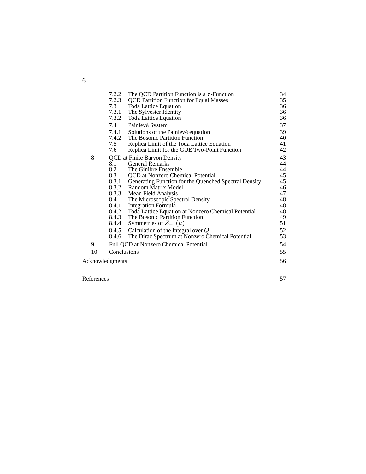|    | 7.2.2                                   | The QCD Partition Function is a $\tau$ -Function      | 34 |
|----|-----------------------------------------|-------------------------------------------------------|----|
|    | 7.2.3                                   | <b>QCD Partition Function for Equal Masses</b>        | 35 |
|    | 7.3<br><b>Toda Lattice Equation</b>     |                                                       | 36 |
|    | 7.3.1<br>The Sylvester Identity         |                                                       | 36 |
|    | 7.3.2<br><b>Toda Lattice Equation</b>   |                                                       | 36 |
|    | 7.4<br>Painlevé System                  |                                                       | 37 |
|    | 7.4.1                                   | Solutions of the Painlevé equation                    | 39 |
|    | 7.4.2<br>The Bosonic Partition Function |                                                       | 40 |
|    | 7.5                                     | Replica Limit of the Toda Lattice Equation            | 41 |
|    | 7.6                                     | Replica Limit for the GUE Two-Point Function          | 42 |
| 8  | <b>QCD</b> at Finite Baryon Density     |                                                       | 43 |
|    | <b>General Remarks</b><br>8.1           |                                                       | 44 |
|    | 8.2<br>The Ginibre Ensemble             |                                                       | 44 |
|    | 8.3                                     | <b>QCD</b> at Nonzero Chemical Potential              | 45 |
|    | 8.3.1                                   | Generating Function for the Quenched Spectral Density | 45 |
|    | 8.3.2<br>Random Matrix Model            |                                                       | 46 |
|    | 8.3.3<br>Mean Field Analysis            |                                                       | 47 |
|    | 8.4                                     | The Microscopic Spectral Density                      | 48 |
|    | 8.4.1<br>Integration Formula            |                                                       | 48 |
|    | 8.4.2                                   | Toda Lattice Equation at Nonzero Chemical Potential   | 48 |
|    | 8.4.3 The Bosonic Partition Function    |                                                       | 49 |
|    | 8.4.4<br>Symmetries of $Z_{-1}(\mu)$    |                                                       | 51 |
|    | 8.4.5                                   | Calculation of the Integral over $Q$                  | 52 |
|    | 8.4.6                                   | The Dirac Spectrum at Nonzero Chemical Potential      | 53 |
| 9  |                                         | Full QCD at Nonzero Chemical Potential                |    |
| 10 | Conclusions                             |                                                       |    |
|    | Acknowledgments                         |                                                       | 56 |
|    |                                         |                                                       |    |

References 57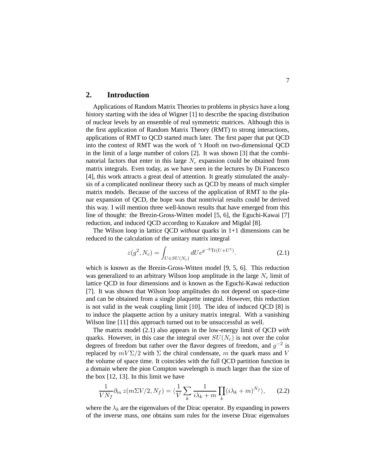### **2. Introduction**

Applications of Random Matrix Theories to problems in physics have a long history starting with the idea of Wigner [1] to describe the spacing distribution of nuclear levels by an ensemble of real symmetric matrices. Although this is the first application of Random Matrix Theory (RMT) to strong interactions, applications of RMT to QCD started much later. The first paper that put QCD into the context of RMT was the work of 't Hooft on two-dimensional QCD in the limit of a large number of colors [2]. It was shown [3] that the combinatorial factors that enter in this large  $N_c$  expansion could be obtained from matrix integrals. Even today, as we have seen in the lectures by Di Francesco [4], this work attracts a great deal of attention. It greatly stimulated the analysis of a complicated nonlinear theory such as QCD by means of much simpler matrix models. Because of the success of the application of RMT to the planar expansion of QCD, the hope was that nontrivial results could be derived this way. I will mention three well-known results that have emerged from this line of thought: the Brezin-Gross-Witten model [5, 6], the Eguchi-Kawai [7] reduction, and induced QCD according to Kazakov and Migdal [8].

The Wilson loop in lattice QCD *without* quarks in 1+1 dimensions can be reduced to the calculation of the unitary matrix integral

$$
z(g^2, N_c) = \int_{U \in SU(N_c)} dU e^{g^{-2} \text{Tr}(U + U^{\dagger})}.
$$
 (2.1)

which is known as the Brezin-Gross-Witten model [9, 5, 6]. This reduction was generalized to an arbitrary Wilson loop amplitude in the large  $N_c$  limit of lattice QCD in four dimensions and is known as the Eguchi-Kawai reduction [7]. It was shown that Wilson loop amplitudes do not depend on space-time and can be obtained from a single plaquette integral. However, this reduction is not valid in the weak coupling limit [10]. The idea of induced QCD [8] is to induce the plaquette action by a unitary matrix integral. With a vanishing Wilson line [11] this approach turned out to be unsuccessful as well.

The matrix model (2.1) also appears in the low-energy limit of QCD *with* quarks. However, in this case the integral over  $SU(N_c)$  is not over the color degrees of freedom but rather over the flavor degrees of freedom, and  $g^{-2}$  is replaced by  $mV\sum/2$  with  $\Sigma$  the chiral condensate, m the quark mass and V the volume of space time. It coincides with the full QCD partition function in a domain where the pion Compton wavelength is much larger than the size of the box [12, 13]. In this limit we have

$$
\frac{1}{VN_f} \partial_m z(m\Sigma V/2, N_f) = \langle \frac{1}{V} \sum_k \frac{1}{i\lambda_k + m} \prod_k (i\lambda_k + m)^{N_f} \rangle, \qquad (2.2)
$$

where the  $\lambda_k$  are the eigenvalues of the Dirac operator. By expanding in powers of the inverse mass, one obtains sum rules for the inverse Dirac eigenvalues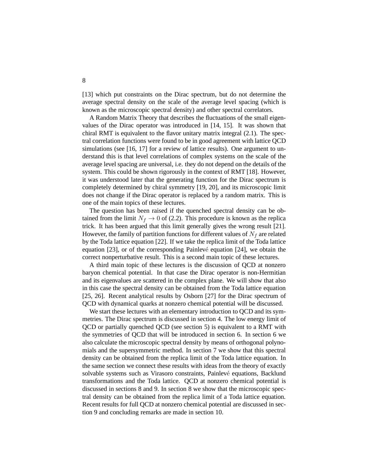[13] which put constraints on the Dirac spectrum, but do not determine the average spectral density on the scale of the average level spacing (which is known as the microscopic spectral density) and other spectral correlators.

A Random Matrix Theory that describes the fluctuations of the small eigenvalues of the Dirac operator was introduced in [14, 15]. It was shown that chiral RMT is equivalent to the flavor unitary matrix integral (2.1). The spectral correlation functions were found to be in good agreement with lattice QCD simulations (see [16, 17] for a review of lattice results). One argument to understand this is that level correlations of complex systems on the scale of the average level spacing are universal, i.e. they do not depend on the details of the system. This could be shown rigorously in the context of RMT [18]. However, it was understood later that the generating function for the Dirac spectrum is completely determined by chiral symmetry [19, 20], and its microscopic limit does not change if the Dirac operator is replaced by a random matrix. This is one of the main topics of these lectures.

The question has been raised if the quenched spectral density can be obtained from the limit  $N_f \rightarrow 0$  of (2.2). This procedure is known as the replica trick. It has been argued that this limit generally gives the wrong result [21]. However, the family of partition functions for different values of  $N_f$  are related by the Toda lattice equation [22]. If we take the replica limit of the Toda lattice equation [23], or of the corresponding Painlevé equation [24], we obtain the correct nonperturbative result. This is a second main topic of these lectures.

A third main topic of these lectures is the discussion of QCD at nonzero baryon chemical potential. In that case the Dirac operator is non-Hermitian and its eigenvalues are scattered in the complex plane. We will show that also in this case the spectral density can be obtained from the Toda lattice equation [25, 26]. Recent analytical results by Osborn [27] for the Dirac spectrum of QCD with dynamical quarks at nonzero chemical potential will be discussed.

We start these lectures with an elementary introduction to QCD and its symmetries. The Dirac spectrum is discussed in section 4. The low energy limit of QCD or partially quenched QCD (see section 5) is equivalent to a RMT with the symmetries of QCD that will be introduced in section 6. In section 6 we also calculate the microscopic spectral density by means of orthogonal polynomials and the supersymmetric method. In section 7 we show that this spectral density can be obtained from the replica limit of the Toda lattice equation. In the same section we connect these results with ideas from the theory of exactly solvable systems such as Virasoro constraints, Painlevé equations, Backlund transformations and the Toda lattice. QCD at nonzero chemical potential is discussed in sections 8 and 9. In section 8 we show that the microscopic spectral density can be obtained from the replica limit of a Toda lattice equation. Recent results for full QCD at nonzero chemical potential are discussed in section 9 and concluding remarks are made in section 10.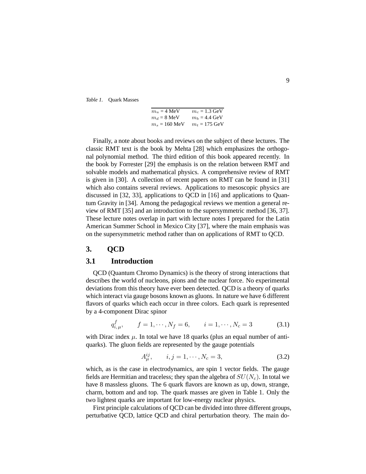*Table 1.* Quark Masses

| $m_u = 4$ MeV   | $m_c = 1.3$ GeV         |
|-----------------|-------------------------|
| $m_d = 8$ MeV   | $m_b = 4.4$ GeV         |
| $m_s = 160$ MeV | $m_t = 175 \text{ GeV}$ |

Finally, a note about books and reviews on the subject of these lectures. The classic RMT text is the book by Mehta [28] which emphasizes the orthogonal polynomial method. The third edition of this book appeared recently. In the book by Forrester [29] the emphasis is on the relation between RMT and solvable models and mathematical physics. A comprehensive review of RMT is given in [30]. A collection of recent papers on RMT can be found in [31] which also contains several reviews. Applications to mesoscopic physics are discussed in [32, 33], applications to QCD in [16] and applications to Quantum Gravity in [34]. Among the pedagogical reviews we mention a general review of RMT [35] and an introduction to the supersymmetric method [36, 37]. These lecture notes overlap in part with lecture notes I prepared for the Latin American Summer School in Mexico City [37], where the main emphasis was on the supersymmetric method rather than on applications of RMT to QCD.

### **3. QCD**

#### **3.1 Introduction**

QCD (Quantum Chromo Dynamics) is the theory of strong interactions that describes the world of nucleons, pions and the nuclear force. No experimental deviations from this theory have ever been detected. QCD is a theory of quarks which interact via gauge bosons known as gluons. In nature we have 6 different flavors of quarks which each occur in three colors. Each quark is represented by a 4-component Dirac spinor

$$
q_{i,\mu}^f
$$
,  $f = 1, \dots, N_f = 6$ ,  $i = 1, \dots, N_c = 3$  (3.1)

with Dirac index  $\mu$ . In total we have 18 quarks (plus an equal number of antiquarks). The gluon fields are represented by the gauge potentials

$$
A_{\mu}^{ij}, \qquad i, j = 1, \cdots, N_c = 3,
$$
\n(3.2)

which, as is the case in electrodynamics, are spin 1 vector fields. The gauge fields are Hermitian and traceless; they span the algebra of  $SU(N_c)$ . In total we have 8 massless gluons. The 6 quark flavors are known as up, down, strange, charm, bottom and and top. The quark masses are given in Table 1. Only the two lightest quarks are important for low-energy nuclear physics.

First principle calculations of QCD can be divided into three different groups, perturbative QCD, lattice QCD and chiral perturbation theory. The main do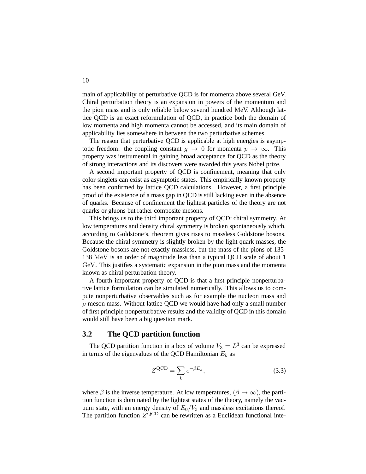main of applicability of perturbative QCD is for momenta above several GeV. Chiral perturbation theory is an expansion in powers of the momentum and the pion mass and is only reliable below several hundred MeV. Although lattice QCD is an exact reformulation of QCD, in practice both the domain of low momenta and high momenta cannot be accessed, and its main domain of applicability lies somewhere in between the two perturbative schemes.

The reason that perturbative QCD is applicable at high energies is asymptotic freedom: the coupling constant  $g \to 0$  for momenta  $p \to \infty$ . This property was instrumental in gaining broad acceptance for QCD as the theory of strong interactions and its discovers were awarded this years Nobel prize.

A second important property of QCD is confinement, meaning that only color singlets can exist as asymptotic states. This empirically known property has been confirmed by lattice QCD calculations. However, a first principle proof of the existence of a mass gap in QCD is still lacking even in the absence of quarks. Because of confinement the lightest particles of the theory are not quarks or gluons but rather composite mesons.

This brings us to the third important property of QCD: chiral symmetry. At low temperatures and density chiral symmetry is broken spontaneously which, according to Goldstone's, theorem gives rises to massless Goldstone bosons. Because the chiral symmetry is slightly broken by the light quark masses, the Goldstone bosons are not exactly massless, but the mass of the pions of 135- 138 MeV is an order of magnitude less than a typical QCD scale of about 1 GeV. This justifies a systematic expansion in the pion mass and the momenta known as chiral perturbation theory.

A fourth important property of QCD is that a first principle nonperturbative lattice formulation can be simulated numerically. This allows us to compute nonperturbative observables such as for example the nucleon mass and  $\rho$ -meson mass. Without lattice OCD we would have had only a small number of first principle nonperturbative results and the validity of QCD in this domain would still have been a big question mark.

### **3.2 The QCD partition function**

The QCD partition function in a box of volume  $V_3 = L^3$  can be expressed in terms of the eigenvalues of the QCD Hamiltonian  $E<sub>k</sub>$  as

$$
Z^{\text{QCD}} = \sum_{k} e^{-\beta E_k},\tag{3.3}
$$

where  $\beta$  is the inverse temperature. At low temperatures,  $(\beta \to \infty)$ , the partition function is dominated by the lightest states of the theory, namely the vacuum state, with an energy density of  $E_0/V_3$  and massless excitations thereof. The partition function  $Z^{\text{QCD}}$  can be rewritten as a Euclidean functional inte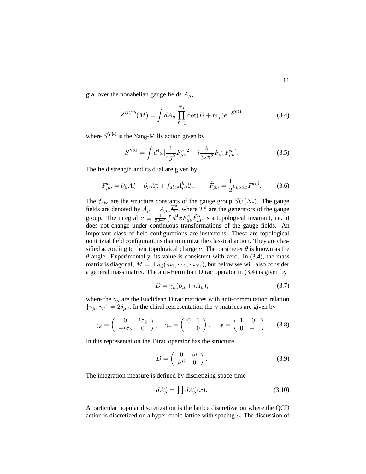gral over the nonabelian gauge fields  $A_{\mu}$ ,

$$
Z^{\rm QCD}(M) = \int dA_{\mu} \prod_{f=1}^{N_f} \det(D + m_f) e^{-S^{\rm YM}},
$$
 (3.4)

where  $S<sup>YM</sup>$  is the Yang-Mills action given by

$$
S^{\text{YM}} = \int d^4x \left[\frac{1}{4g^2} F_{\mu\nu}^a{}^2 - i \frac{\theta}{32\pi^2} F_{\mu\nu}^a \tilde{F}_{\mu\nu}^a\right].\tag{3.5}
$$

The field strength and its dual are given by

$$
F_{\mu\nu}^a = \partial_\mu A_\nu^a - \partial_\nu A_\mu^a + f_{abc} A_\mu^b A_\nu^c, \qquad \tilde{F}_{\mu\nu} = \frac{1}{2} \epsilon_{\mu\nu\alpha\beta} F^{\alpha\beta}.
$$
 (3.6)

The  $f_{abc}$  are the structure constants of the gauge group  $SU(N_c)$ . The gauge fields are denoted by  $A_{\mu} = A_{\mu a} \frac{T^a}{2}$  $\frac{r_a}{2}$ , where  $T^a$  are the generators of the gauge group. The integral  $\nu \equiv \frac{1}{32\pi^2} \int d^4x F^a_{\mu\nu} \tilde{F}^a_{\mu\nu}$  is a topological invariant, i.e. it does not change under continuous transformations of the gauge fields. An important class of field configurations are instantons. These are topological nontrivial field configurations that minimize the classical action. They are classified according to their topological charge  $\nu$ . The parameter  $\theta$  is known as the  $\theta$ -angle. Experimentally, its value is consistent with zero. In (3.4), the mass matrix is diagonal,  $M = diag(m_1, \dots, m_{N_f})$ , but below we will also consider a general mass matrix. The anti-Hermitian Dirac operator in (3.4) is given by

$$
D = \gamma_{\mu} (\partial_{\mu} + iA_{\mu}), \tag{3.7}
$$

where the  $\gamma_{\mu}$  are the Euclidean Dirac matrices with anti-commutation relation  $\{\gamma_{\mu}, \gamma_{\nu}\} = 2\delta_{\mu\nu}$ . In the chiral representation the  $\gamma$ -matrices are given by

$$
\gamma_k = \begin{pmatrix} 0 & i\sigma_k \\ -i\sigma_k & 0 \end{pmatrix}, \quad \gamma_4 = \begin{pmatrix} 0 & 1 \\ 1 & 0 \end{pmatrix}, \quad \gamma_5 = \begin{pmatrix} 1 & 0 \\ 0 & -1 \end{pmatrix}.
$$
 (3.8)

In this representation the Dirac operator has the structure

$$
D = \left(\begin{array}{cc} 0 & id \\ id^{\dagger} & 0 \end{array}\right). \tag{3.9}
$$

The integration measure is defined by discretizing space-time

$$
dA_{\mu}^{a} = \prod_{x} dA_{\mu}^{a}(x). \tag{3.10}
$$

A particular popular discretization is the lattice discretization where the QCD action is discretized on a hyper-cubic lattice with spacing a. The discussion of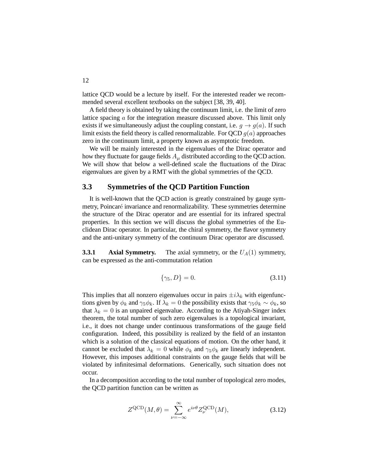lattice QCD would be a lecture by itself. For the interested reader we recommended several excellent textbooks on the subject [38, 39, 40].

A field theory is obtained by taking the continuum limit, i.e. the limit of zero lattice spacing a for the integration measure discussed above. This limit only exists if we simultaneously adjust the coupling constant, i.e.  $g \to g(a)$ . If such limit exists the field theory is called renormalizable. For QCD  $q(a)$  approaches zero in the continuum limit, a property known as asymptotic freedom.

We will be mainly interested in the eigenvalues of the Dirac operator and how they fluctuate for gauge fields  $A_\mu$  distributed according to the QCD action. We will show that below a well-defined scale the fluctuations of the Dirac eigenvalues are given by a RMT with the global symmetries of the QCD.

#### **3.3 Symmetries of the QCD Partition Function**

It is well-known that the QCD action is greatly constrained by gauge symmetry, Poincaré invariance and renormalizability. These symmetries determine the structure of the Dirac operator and are essential for its infrared spectral properties. In this section we will discuss the global symmetries of the Euclidean Dirac operator. In particular, the chiral symmetry, the flavor symmetry and the anti-unitary symmetry of the continuum Dirac operator are discussed.

**3.3.1** Axial Symmetry. The axial symmetry, or the  $U_A(1)$  symmetry, can be expressed as the anti-commutation relation

$$
\{\gamma_5, D\} = 0. \tag{3.11}
$$

This implies that all nonzero eigenvalues occur in pairs  $\pm i\lambda_k$  with eigenfunctions given by  $\phi_k$  and  $\gamma_5 \phi_k$ . If  $\lambda_k = 0$  the possibility exists that  $\gamma_5 \phi_k \sim \phi_k$ , so that  $\lambda_k = 0$  is an unpaired eigenvalue. According to the Atiyah-Singer index theorem, the total number of such zero eigenvalues is a topological invariant, i.e., it does not change under continuous transformations of the gauge field configuration. Indeed, this possibility is realized by the field of an instanton which is a solution of the classical equations of motion. On the other hand, it cannot be excluded that  $\lambda_k = 0$  while  $\phi_k$  and  $\gamma_5 \phi_k$  are linearly independent. However, this imposes additional constraints on the gauge fields that will be violated by infinitesimal deformations. Generically, such situation does not occur.

In a decomposition according to the total number of topological zero modes, the QCD partition function can be written as

$$
Z^{\text{QCD}}(M,\theta) = \sum_{\nu=-\infty}^{\infty} e^{i\nu\theta} Z_{\nu}^{\text{QCD}}(M),
$$
 (3.12)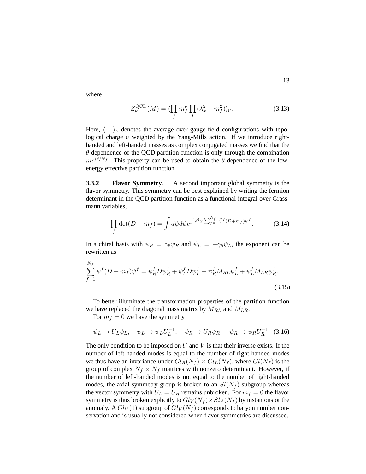where

$$
Z_{\nu}^{\text{QCD}}(M) = \langle \prod_{f} m_f^{\nu} \prod_{k} (\lambda_k^2 + m_f^2) \rangle_{\nu}.
$$
 (3.13)

Here,  $\langle \cdots \rangle_{\nu}$  denotes the average over gauge-field configurations with topological charge  $\nu$  weighted by the Yang-Mills action. If we introduce righthanded and left-handed masses as complex conjugated masses we find that the  $\theta$  dependence of the QCD partition function is only through the combination  $me^{i\bar{\theta}/N_f}$ . This property can be used to obtain the  $\theta$ -dependence of the lowenergy effective partition function.

**3.3.2 Flavor Symmetry.** A second important global symmetry is the flavor symmetry. This symmetry can be best explained by writing the fermion determinant in the QCD partition function as a functional integral over Grassmann variables,

$$
\prod_{f} \det(D + m_f) = \int d\psi d\bar{\psi} e^{\int d^4x \sum_{f=1}^{N_f} \bar{\psi}^f (D + m_f) \psi^f}.
$$
 (3.14)

In a chiral basis with  $\psi_R = \gamma_5 \psi_R$  and  $\psi_L = -\gamma_5 \psi_L$ , the exponent can be rewritten as

$$
\sum_{f=1}^{N_f} \bar{\psi}^f (D + m_f) \psi^f = \bar{\psi}_R^f D \psi_R^f + \bar{\psi}_L^f D \psi_L^f + \bar{\psi}_R^f M_{RL} \psi_L^f + \bar{\psi}_L^f M_{LR} \psi_R^f.
$$
\n(3.15)

To better illuminate the transformation properties of the partition function we have replaced the diagonal mass matrix by  $M_{RL}$  and  $M_{LR}$ .

For  $m_f = 0$  we have the symmetry

$$
\psi_L \to U_L \psi_L, \quad \bar{\psi}_L \to \bar{\psi}_L U_L^{-1}, \quad \psi_R \to U_R \psi_R, \quad \bar{\psi}_R \to \bar{\psi}_R U_R^{-1}.
$$
 (3.16)

The only condition to be imposed on  $U$  and  $V$  is that their inverse exists. If the number of left-handed modes is equal to the number of right-handed modes we thus have an invariance under  $Gl_R(N_f) \times Gl_L(N_f)$ , where  $Gl(N_f)$  is the group of complex  $N_f \times N_f$  matrices with nonzero determinant. However, if the number of left-handed modes is not equal to the number of right-handed modes, the axial-symmetry group is broken to an  $Sl(N_f)$  subgroup whereas the vector symmetry with  $U_L = U_R$  remains unbroken. For  $m_f = 0$  the flavor symmetry is thus broken explicitly to  $Gl_V(N_f) \times Sl_A(N_f)$  by instantons or the anomaly. A  $Gl_V(1)$  subgroup of  $Gl_V(N_f)$  corresponds to baryon number conservation and is usually not considered when flavor symmetries are discussed.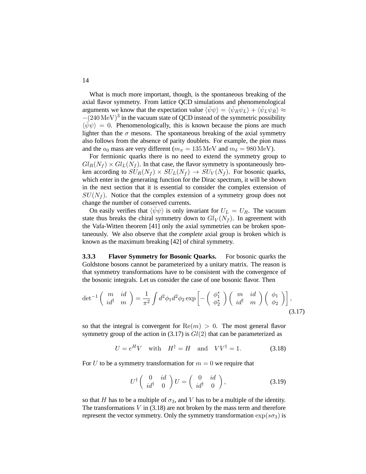What is much more important, though, is the spontaneous breaking of the axial flavor symmetry. From lattice QCD simulations and phenomenological arguments we know that the expectation value  $\langle \bar{\psi}\psi \rangle = \langle \bar{\psi}_R \psi_L \rangle + \langle \bar{\psi}_L \psi_R \rangle \approx$  $-(240 \,\mathrm{MeV})^3$  in the vacuum state of QCD instead of the symmetric possibility  $\langle \bar{\psi}\psi \rangle = 0$ . Phenomenologically, this is known because the pions are much lighter than the  $\sigma$  mesons. The spontaneous breaking of the axial symmetry also follows from the absence of parity doublets. For example, the pion mass and the  $a_0$  mass are very different ( $m_\pi = 135 \,\text{MeV}$  and  $m_\delta = 980 \,\text{MeV}$ ).

For fermionic quarks there is no need to extend the symmetry group to  $Gl_R(N_f) \times Gl_L(N_f)$ . In that case, the flavor symmetry is spontaneously broken according to  $SU_R(N_f) \times SU_L(N_f) \rightarrow SU_V(N_f)$ . For bosonic quarks, which enter in the generating function for the Dirac spectrum, it will be shown in the next section that it is essential to consider the complex extension of  $SU(N_f)$ . Notice that the complex extension of a symmetry group does not change the number of conserved currents.

On easily verifies that  $\langle \psi \psi \rangle$  is only invariant for  $U_L = U_R$ . The vacuum state thus breaks the chiral symmetry down to  $Gl_V(N_f)$ . In agreement with the Vafa-Witten theorem [41] only the axial symmetries can be broken spontaneously. We also observe that the *complete* axial group is broken which is known as the maximum breaking [42] of chiral symmetry.

**3.3.3 Flavor Symmetry for Bosonic Quarks.** For bosonic quarks the Goldstone bosons cannot be parameterized by a unitary matrix. The reason is that symmetry transformations have to be consistent with the convergence of the bosonic integrals. Let us consider the case of one bosonic flavor. Then

$$
\det^{-1}\begin{pmatrix} m & id \\ id^{\dagger} & m \end{pmatrix} = \frac{1}{\pi^2} \int d^2 \phi_1 d^2 \phi_2 \exp\left[ -\begin{pmatrix} \phi_1^* \\ \phi_2^* \end{pmatrix} \begin{pmatrix} m & id \\ id^{\dagger} & m \end{pmatrix} \begin{pmatrix} \phi_1 \\ \phi_2 \end{pmatrix} \right],\tag{3.17}
$$

so that the integral is convergent for  $\text{Re}(m) > 0$ . The most general flavor symmetry group of the action in  $(3.17)$  is  $Gl(2)$  that can be parameterized as

$$
U = e^H V \quad \text{with} \quad H^{\dagger} = H \quad \text{and} \quad VV^{\dagger} = 1. \tag{3.18}
$$

For U to be a symmetry transformation for  $m = 0$  we require that

$$
U^{\dagger} \begin{pmatrix} 0 & id \\ id^{\dagger} & 0 \end{pmatrix} U = \begin{pmatrix} 0 & id \\ id^{\dagger} & 0 \end{pmatrix}, \tag{3.19}
$$

so that H has to be a multiple of  $\sigma_3$ , and V has to be a multiple of the identity. The transformations  $V$  in (3.18) are not broken by the mass term and therefore represent the vector symmetry. Only the symmetry transformation  $\exp(s\sigma_3)$  is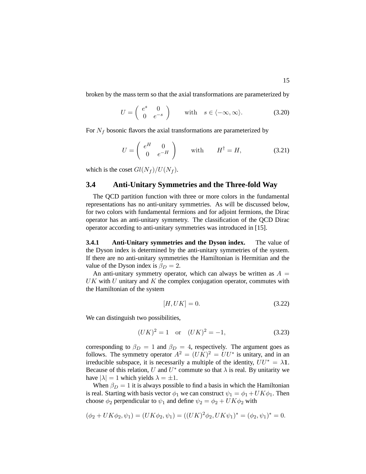broken by the mass term so that the axial transformations are parameterized by

$$
U = \begin{pmatrix} e^s & 0 \\ 0 & e^{-s} \end{pmatrix} \quad \text{with} \quad s \in \langle -\infty, \infty \rangle.
$$
 (3.20)

For  $N_f$  bosonic flavors the axial transformations are parameterized by

$$
U = \begin{pmatrix} e^H & 0 \\ 0 & e^{-H} \end{pmatrix} \quad \text{with} \quad H^{\dagger} = H, \tag{3.21}
$$

which is the coset  $Gl(N_f)/U(N_f)$ .

### **3.4 Anti-Unitary Symmetries and the Three-fold Way**

The QCD partition function with three or more colors in the fundamental representations has no anti-unitary symmetries. As will be discussed below, for two colors with fundamental fermions and for adjoint fermions, the Dirac operator has an anti-unitary symmetry. The classification of the QCD Dirac operator according to anti-unitary symmetries was introduced in [15].

**3.4.1 Anti-Unitary symmetries and the Dyson index.** The value of the Dyson index is determined by the anti-unitary symmetries of the system. If there are no anti-unitary symmetries the Hamiltonian is Hermitian and the value of the Dyson index is  $\beta_D = 2$ .

An anti-unitary symmetry operator, which can always be written as  $A =$  $UK$  with  $U$  unitary and  $K$  the complex conjugation operator, commutes with the Hamiltonian of the system

$$
[H, UK] = 0. \t(3.22)
$$

We can distinguish two possibilities,

$$
(UK)^2 = 1 \quad \text{or} \quad (UK)^2 = -1,\tag{3.23}
$$

corresponding to  $\beta_D = 1$  and  $\beta_D = 4$ , respectively. The argument goes as follows. The symmetry operator  $A^2 = (UK)^2 = UU^*$  is unitary, and in an irreducible subspace, it is necessarily a multiple of the identity,  $UU^* = \lambda \mathbf{1}$ . Because of this relation, U and  $U^*$  commute so that  $\lambda$  is real. By unitarity we have  $|\lambda| = 1$  which yields  $\lambda = \pm 1$ .

When  $\beta_D = 1$  it is always possible to find a basis in which the Hamiltonian is real. Starting with basis vector  $\phi_1$  we can construct  $\psi_1 = \phi_1 + UK\phi_1$ . Then choose  $\phi_2$  perpendicular to  $\psi_1$  and define  $\psi_2 = \phi_2 + UK\phi_2$  with

$$
(\phi_2 + UK\phi_2, \psi_1) = (UK\phi_2, \psi_1) = ((UK)^2 \phi_2, UK\psi_1)^* = (\phi_2, \psi_1)^* = 0.
$$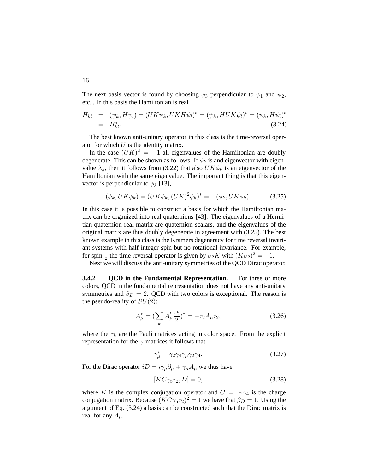The next basis vector is found by choosing  $\phi_3$  perpendicular to  $\psi_1$  and  $\psi_2$ , etc. . In this basis the Hamiltonian is real

$$
H_{kl} = (\psi_k, H\psi_l) = (UK\psi_k, UKH\psi_l)^* = (\psi_k, HUK\psi_l)^* = (\psi_k, H\psi_l)^* = H_{kl}^*.
$$
\n(3.24)

The best known anti-unitary operator in this class is the time-reversal operator for which  $U$  is the identity matrix.

In the case  $(UK)^2 = -1$  all eigenvalues of the Hamiltonian are doubly degenerate. This can be shown as follows. If  $\phi_k$  is and eigenvector with eigenvalue  $\lambda_k$ , then it follows from (3.22) that also  $UK\phi_k$  is an eigenvector of the Hamiltonian with the same eigenvalue. The important thing is that this eigenvector is perpendicular to  $\phi_k$  [13],

$$
(\phi_k, UK\phi_k) = (UK\phi_k, (UK)^2 \phi_k)^* = -(\phi_k, UK\phi_k). \tag{3.25}
$$

In this case it is possible to construct a basis for which the Hamiltonian matrix can be organized into real quaternions [43]. The eigenvalues of a Hermitian quaternion real matrix are quaternion scalars, and the eigenvalues of the original matrix are thus doubly degenerate in agreement with (3.25). The best known example in this class is the Kramers degeneracy for time reversal invariant systems with half-integer spin but no rotational invariance. For example, for spin  $\frac{1}{2}$  the time reversal operator is given by  $\sigma_2 K$  with  $(K\sigma_2)^2 = -1$ .

Next we will discuss the anti-unitary symmetries of the QCD Dirac operator.

**3.4.2** QCD in the Fundamental Representation. For three or more colors, QCD in the fundamental representation does not have any anti-unitary symmetries and  $\beta_D = 2$ . QCD with two colors is exceptional. The reason is the pseudo-reality of  $SU(2)$ :

$$
A_{\mu}^{*} = \left(\sum_{k} A_{\mu}^{k} \frac{\tau_{k}}{2}\right)^{*} = -\tau_{2} A_{\mu} \tau_{2}, \qquad (3.26)
$$

where the  $\tau_k$  are the Pauli matrices acting in color space. From the explicit representation for the  $\gamma$ -matrices it follows that

$$
\gamma_{\mu}^* = \gamma_2 \gamma_4 \gamma_{\mu} \gamma_2 \gamma_4. \tag{3.27}
$$

For the Dirac operator  $iD = i\gamma_\mu \partial_\mu + \gamma_\mu A_\mu$  we thus have

$$
[KC\gamma_5 \tau_2, D] = 0,\t\t(3.28)
$$

where K is the complex conjugation operator and  $C = \gamma_2 \gamma_4$  is the charge conjugation matrix. Because  $(KC\gamma_5\tau_2)^2 = 1$  we have that  $\beta_D = 1$ . Using the argument of Eq. (3.24) a basis can be constructed such that the Dirac matrix is real for any  $A_\mu$ .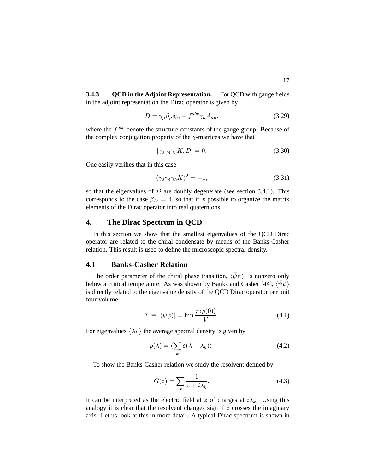**3.4.3 QCD in the Adjoint Representation.** For QCD with gauge fields in the adjoint representation the Dirac operator is given by

$$
D = \gamma_{\mu} \partial_{\mu} \delta_{bc} + f^{abc} \gamma_{\mu} A_{a\mu}, \qquad (3.29)
$$

where the  $f^{abc}$  denote the structure constants of the gauge group. Because of the complex conjugation property of the  $\gamma$ -matrices we have that

$$
[\gamma_2 \gamma_4 \gamma_5 K, D] = 0. \tag{3.30}
$$

One easily verifies that in this case

$$
(\gamma_2 \gamma_4 \gamma_5 K)^2 = -1,\tag{3.31}
$$

so that the eigenvalues of  $D$  are doubly degenerate (see section 3.4.1). This corresponds to the case  $\beta_D = 4$ , so that it is possible to organize the matrix elements of the Dirac operator into real quaternions.

#### **4. The Dirac Spectrum in QCD**

In this section we show that the smallest eigenvalues of the QCD Dirac operator are related to the chiral condensate by means of the Banks-Casher relation. This result is used to define the microscopic spectral density.

### **4.1 Banks-Casher Relation**

The order parameter of the chiral phase transition,  $\langle \bar{\psi}\psi \rangle$ , is nonzero only below a critical temperature. As was shown by Banks and Casher [44],  $\langle \bar{\psi} \psi \rangle$ is directly related to the eigenvalue density of the QCD Dirac operator per unit four-volume

$$
\Sigma \equiv |\langle \bar{\psi}\psi \rangle| = \lim \frac{\pi \langle \rho(0) \rangle}{V}.
$$
\n(4.1)

For eigenvalues  $\{\lambda_k\}$  the average spectral density is given by

$$
\rho(\lambda) = \langle \sum_{k} \delta(\lambda - \lambda_{k}) \rangle.
$$
\n(4.2)

To show the Banks-Casher relation we study the resolvent defined by

$$
G(z) = \sum_{k} \frac{1}{z + i\lambda_k}.
$$
\n(4.3)

It can be interpreted as the electric field at z of charges at  $i\lambda_k$ . Using this analogy it is clear that the resolvent changes sign if  $z$  crosses the imaginary axis. Let us look at this in more detail. A typical Dirac spectrum is shown in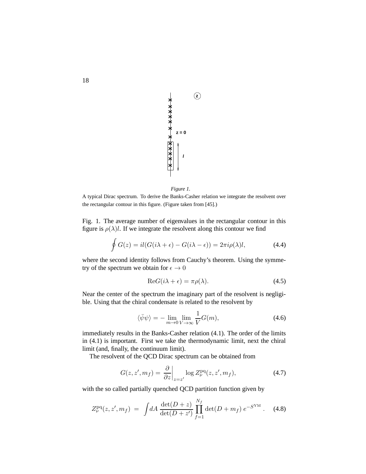



A typical Dirac spectrum. To derive the Banks-Casher relation we integrate the resolvent over the rectangular contour in this figure. (Figure taken from [45].)

Fig. 1. The average number of eigenvalues in the rectangular contour in this figure is  $\rho(\lambda)l$ . If we integrate the resolvent along this contour we find

$$
\oint G(z) = il(G(i\lambda + \epsilon) - G(i\lambda - \epsilon)) = 2\pi i \rho(\lambda)l,
$$
\n(4.4)

where the second identity follows from Cauchy's theorem. Using the symmetry of the spectrum we obtain for  $\epsilon \to 0$ 

$$
ReG(i\lambda + \epsilon) = \pi \rho(\lambda). \tag{4.5}
$$

Near the center of the spectrum the imaginary part of the resolvent is negligible. Using that the chiral condensate is related to the resolvent by

$$
\langle \bar{\psi}\psi \rangle = -\lim_{m \to 0} \lim_{V \to \infty} \frac{1}{V} G(m), \tag{4.6}
$$

immediately results in the Banks-Casher relation (4.1). The order of the limits in (4.1) is important. First we take the thermodynamic limit, next the chiral limit (and, finally, the continuum limit).

The resolvent of the QCD Dirac spectrum can be obtained from

$$
G(z, z', m_f) = \frac{\partial}{\partial z}\Big|_{z=z'} \log Z_{\nu}^{\text{pq}}(z, z', m_f),\tag{4.7}
$$

with the so called partially quenched QCD partition function given by

$$
Z_{\nu}^{\text{pq}}(z, z', m_f) = \int dA \, \frac{\det(D+z)}{\det(D+z')} \prod_{f=1}^{N_f} \det(D+m_f) \, e^{-S^{\text{YM}}} \,. \tag{4.8}
$$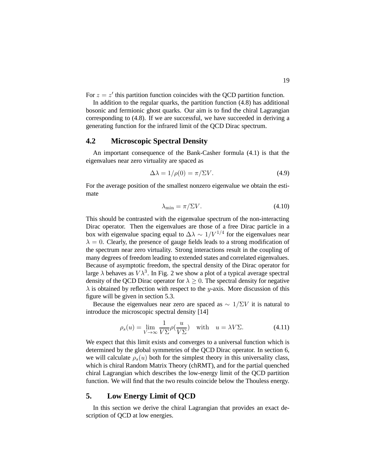For  $z = z'$  this partition function coincides with the QCD partition function.

In addition to the regular quarks, the partition function (4.8) has additional bosonic and fermionic ghost quarks. Our aim is to find the chiral Lagrangian corresponding to (4.8). If we are successful, we have succeeded in deriving a generating function for the infrared limit of the QCD Dirac spectrum.

### **4.2 Microscopic Spectral Density**

An important consequence of the Bank-Casher formula (4.1) is that the eigenvalues near zero virtuality are spaced as

$$
\Delta \lambda = 1/\rho(0) = \pi / \Sigma V. \tag{4.9}
$$

For the average position of the smallest nonzero eigenvalue we obtain the estimate

$$
\lambda_{\min} = \pi / \Sigma V. \tag{4.10}
$$

This should be contrasted with the eigenvalue spectrum of the non-interacting Dirac operator. Then the eigenvalues are those of a free Dirac particle in a box with eigenvalue spacing equal to  $\Delta \lambda \sim 1/V^{1/4}$  for the eigenvalues near  $\lambda = 0$ . Clearly, the presence of gauge fields leads to a strong modification of the spectrum near zero virtuality. Strong interactions result in the coupling of many degrees of freedom leading to extended states and correlated eigenvalues. Because of asymptotic freedom, the spectral density of the Dirac operator for large  $\lambda$  behaves as  $V\lambda^3$ . In Fig. 2 we show a plot of a typical average spectral density of the QCD Dirac operator for  $\lambda \geq 0$ . The spectral density for negative  $\lambda$  is obtained by reflection with respect to the y-axis. More discussion of this figure will be given in section 5.3.

Because the eigenvalues near zero are spaced as  $\sim 1/\Sigma V$  it is natural to introduce the microscopic spectral density [14]

$$
\rho_s(u) = \lim_{V \to \infty} \frac{1}{V\Sigma} \rho(\frac{u}{V\Sigma}) \quad \text{with} \quad u = \lambda V\Sigma.
$$
 (4.11)

We expect that this limit exists and converges to a universal function which is determined by the global symmetries of the QCD Dirac operator. In section 6, we will calculate  $\rho_s(u)$  both for the simplest theory in this universality class, which is chiral Random Matrix Theory (chRMT), and for the partial quenched chiral Lagrangian which describes the low-energy limit of the QCD partition function. We will find that the two results coincide below the Thouless energy.

### **5. Low Energy Limit of QCD**

In this section we derive the chiral Lagrangian that provides an exact description of QCD at low energies.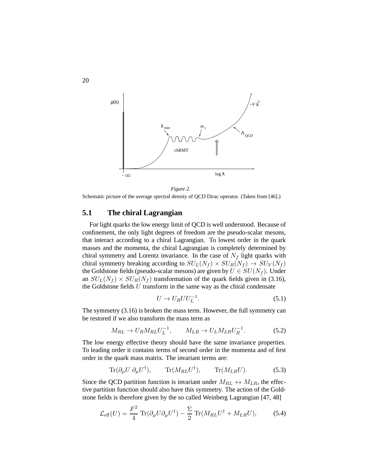

*Figure 2.*

Schematic picture of the average spectral density of QCD Dirac operator. (Taken from [46].)

#### **5.1 The chiral Lagrangian**

For light quarks the low energy limit of QCD is well understood. Because of confinement, the only light degrees of freedom are the pseudo-scalar mesons, that interact according to a chiral Lagrangian. To lowest order in the quark masses and the momenta, the chiral Lagrangian is completely determined by chiral symmetry and Lorentz invariance. In the case of  $N_f$  light quarks with chiral symmetry breaking according to  $SU_L(N_f) \times SU_R(N_f) \rightarrow SU_V(N_f)$ the Goldstone fields (pseudo-scalar mesons) are given by  $U \in SU(N_f)$ . Under an  $SU_L(N_f) \times SU_R(N_f)$  transformation of the quark fields given in (3.16), the Goldstone fields  $U$  transform in the same way as the chiral condensate

$$
U \to U_R U U_L^{-1}.
$$
\n<sup>(5.1)</sup>

The symmetry (3.16) is broken the mass term. However, the full symmetry can be restored if we also transform the mass term as

$$
M_{RL} \rightarrow U_R M_{RL} U_L^{-1}, \qquad M_{LR} \rightarrow U_L M_{LR} U_R^{-1}.
$$
 (5.2)

The low energy effective theory should have the same invariance properties. To leading order it contains terms of second order in the momenta and of first order in the quark mass matrix. The invariant terms are:

$$
\text{Tr}(\partial_{\mu}U \partial_{\mu}U^{\dagger}), \qquad \text{Tr}(M_{RL}U^{\dagger}), \qquad \text{Tr}(M_{LR}U). \tag{5.3}
$$

Since the QCD partition function is invariant under  $M_{RL} \leftrightarrow M_{LR}$ , the effective partition function should also have this symmetry. The action of the Goldstone fields is therefore given by the so called Weinberg Lagrangian [47, 48]

$$
\mathcal{L}_{\text{eff}}(U) = \frac{F^2}{4} \operatorname{Tr}(\partial_{\mu} U \partial_{\mu} U^{\dagger}) - \frac{\Sigma}{2} \operatorname{Tr}(M_{RL} U^{\dagger} + M_{LR} U), \tag{5.4}
$$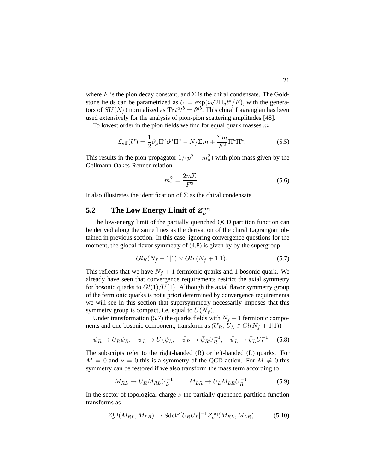where F is the pion decay constant, and  $\Sigma$  is the chiral condensate. The Goldstone fields can be parametrized as  $U = \exp(i\sqrt{2}\Pi_a t^a/F)$ , with the generators of  $SU(N_f)$  normalized as  $\text{Tr } t^a t^b = \delta^{ab}$ . This chiral Lagrangian has been used extensively for the analysis of pion-pion scattering amplitudes [48].

To lowest order in the pion fields we find for equal quark masses  $m$ 

$$
\mathcal{L}_{\text{eff}}(U) = \frac{1}{2} \partial_{\mu} \Pi^{a} \partial^{\mu} \Pi^{a} - N_{f} \Sigma m + \frac{\Sigma m}{F^{2}} \Pi^{a} \Pi^{a}.
$$
 (5.5)

This results in the pion propagator  $1/(p^2 + m^2)$  with pion mass given by the Gellmann-Oakes-Renner relation

$$
m_{\pi}^2 = \frac{2m\Sigma}{F^2}.
$$
\n(5.6)

It also illustrates the identification of  $\Sigma$  as the chiral condensate.

## **5.2** The Low Energy Limit of  $Z_{\nu}^{\text{pq}}$

The low-energy limit of the partially quenched QCD partition function can be derived along the same lines as the derivation of the chiral Lagrangian obtained in previous section. In this case, ignoring convergence questions for the moment, the global flavor symmetry of (4.8) is given by by the supergroup

$$
Gl_R(N_f+1|1) \times Gl_L(N_f+1|1). \tag{5.7}
$$

This reflects that we have  $N_f + 1$  fermionic quarks and 1 bosonic quark. We already have seen that convergence requirements restrict the axial symmetry for bosonic quarks to  $Gl(1)/U(1)$ . Although the axial flavor symmetry group of the fermionic quarks is not a priori determined by convergence requirements we will see in this section that supersymmetry necessarily imposes that this symmetry group is compact, i.e. equal to  $U(N_f)$ .

Under transformation (5.7) the quarks fields with  $N_f + 1$  fermionic components and one bosonic component, transform as  $(U_R, U_L \in Gl(N_f + 1|1))$ 

$$
\psi_R \to U_R \psi_R, \quad \psi_L \to U_L \psi_L, \quad \bar{\psi}_R \to \bar{\psi}_R U_R^{-1}, \quad \bar{\psi}_L \to \bar{\psi}_L U_L^{-1}.
$$
 (5.8)

The subscripts refer to the right-handed (R) or left-handed (L) quarks. For  $M = 0$  and  $\nu = 0$  this is a symmetry of the QCD action. For  $M \neq 0$  this symmetry can be restored if we also transform the mass term according to

$$
M_{RL} \rightarrow U_R M_{RL} U_L^{-1}, \qquad M_{LR} \rightarrow U_L M_{LR} U_R^{-1}.
$$
 (5.9)

In the sector of topological charge  $\nu$  the partially quenched partition function transforms as

$$
Z_{\nu}^{\mathrm{pq}}(M_{RL}, M_{LR}) \to \mathrm{Sdet}^{\nu}[U_R U_L]^{-1} Z_{\nu}^{\mathrm{pq}}(M_{RL}, M_{LR}). \tag{5.10}
$$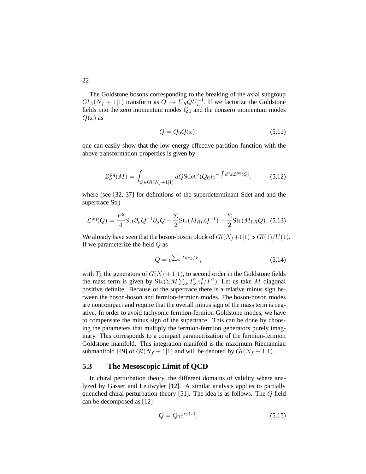The Goldstone bosons corresponding to the breaking of the axial subgroup  $Gl_A(N_f+1|1)$  transform as  $Q \to U_R QU_L^{-1}$ . If we factorize the Goldstone fields into the zero momentum modes  $Q_0$  and the nonzero momentum modes  $Q(x)$  as

$$
Q = Q_0 Q(x),\tag{5.11}
$$

one can easily show that the low energy effective partition function with the above transformation properties is given by

$$
Z_{\nu}^{\rm pq}(M) = \int_{Q \in Gl(N_f+1|1)} dQ \, \text{Sdet}^{\nu}(Q_0) e^{-\int d^4x \mathcal{L}^{\rm pq}(Q)},\tag{5.12}
$$

where (see [32, 37] for definitions of the superdeterminant Sdet and and the supertrace Str)

$$
\mathcal{L}^{pq}(Q) = \frac{F^2}{4} \text{Str} \partial_{\mu} Q^{-1} \partial_{\mu} Q - \frac{\Sigma}{2} \text{Str}(M_{RL} Q^{-1}) - \frac{\Sigma}{2} \text{Str}(M_{LR} Q). \tag{5.13}
$$

We already have seen that the boson-boson block of  $Gl(N_f+1|1)$  is  $Gl(1)/U(1)$ . If we parameterize the field  $Q$  as

$$
Q = e^{\sum_{k} T_{k} \pi_{k}/F}, \tag{5.14}
$$

with  $T_k$  the generators of  $G(N_f + 1|1)$ , to second order in the Goldstone fields the mass term is given by  $\text{Str}(\Sigma M \sum_k T_k^2 \pi_k^2 / F^2)$ . Let us take M diagonal positive definite. Because of the supertrace there is a relative minus sign between the boson-boson and fermion-fermion modes. The boson-boson modes are noncompact and require that the overall minus sign of the mass term is negative. In order to avoid tachyonic fermion-fermion Goldstone modes, we have to compensate the minus sign of the supertrace. This can be done by choosing the parameters that multiply the fermion-fermion generators purely imaginary. This corresponds to a compact parametrization of the fermion-fermion Goldstone manifold. This integration manifold is the maximum Riemannian submanifold [49] of  $Gl(N_f + 1|1)$  and will be denoted by  $Gl(N_f + 1|1)$ .

### **5.3 The Mesoscopic Limit of QCD**

In chiral perturbation theory, the different domains of validity where analyzed by Gasser and Leutwyler [12]. A similar analysis applies to partially quenched chiral perturbation theory [51]. The idea is as follows. The Q field can be decomposed as [12]

$$
Q = Q_0 e^{i\psi(x)},\tag{5.15}
$$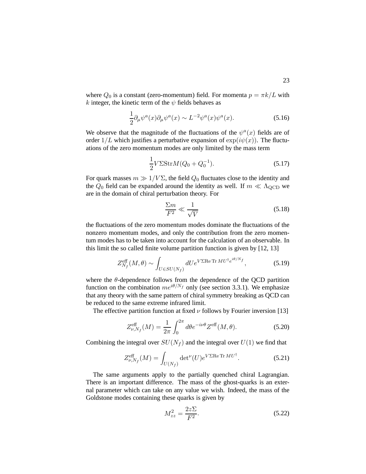where  $Q_0$  is a constant (zero-momentum) field. For momenta  $p = \pi k/L$  with k integer, the kinetic term of the  $\psi$  fields behaves as

$$
\frac{1}{2}\partial_{\mu}\psi^{a}(x)\partial_{\mu}\psi^{a}(x) \sim L^{-2}\psi^{a}(x)\psi^{a}(x). \tag{5.16}
$$

We observe that the magnitude of the fluctuations of the  $\psi^a(x)$  fields are of order  $1/L$  which justifies a perturbative expansion of  $\exp(i\psi(x))$ . The fluctuations of the zero momentum modes are only limited by the mass term

$$
\frac{1}{2}V\Sigma \text{Str}M(Q_0 + Q_0^{-1}).
$$
\n(5.17)

For quark masses  $m \gg 1/V\Sigma$ , the field  $Q_0$  fluctuates close to the identity and the  $Q_0$  field can be expanded around the identity as well. If  $m \ll \Lambda_{\rm QCD}$  we are in the domain of chiral perturbation theory. For

$$
\frac{\Sigma m}{F^2} \ll \frac{1}{\sqrt{V}}\tag{5.18}
$$

the fluctuations of the zero momentum modes dominate the fluctuations of the nonzero momentum modes, and only the contribution from the zero momentum modes has to be taken into account for the calculation of an observable. In this limit the so called finite volume partition function is given by [12, 13]

$$
Z_{N_f}^{\text{eff}}(M,\theta) \sim \int_{U \in SU(N_f)} dU e^{V \Sigma \text{Re Tr } M U^{\dagger} e^{i\theta/N_f}}, \tag{5.19}
$$

where the  $\theta$ -dependence follows from the dependence of the QCD partition function on the combination  $me^{i\theta/N_f}$  only (see section 3.3.1). We emphasize that any theory with the same pattern of chiral symmetry breaking as QCD can be reduced to the same extreme infrared limit.

The effective partition function at fixed  $\nu$  follows by Fourier inversion [13]

$$
Z_{\nu,N_f}^{\text{eff}}(M) = \frac{1}{2\pi} \int_0^{2\pi} d\theta e^{-i\nu\theta} Z^{\text{eff}}(M,\theta). \tag{5.20}
$$

Combining the integral over  $SU(N_f)$  and the integral over  $U(1)$  we find that

$$
Z_{\nu,N_f}^{\text{eff}}(M) = \int_{U(N_f)} \det^{\nu} (U) e^{V \Sigma \text{Re Tr } M U^{\dagger}}.
$$
 (5.21)

The same arguments apply to the partially quenched chiral Lagrangian. There is an important difference. The mass of the ghost-quarks is an external parameter which can take on any value we wish. Indeed, the mass of the Goldstone modes containing these quarks is given by

$$
M_{zz}^2 = \frac{2z\Sigma}{F^2}.\tag{5.22}
$$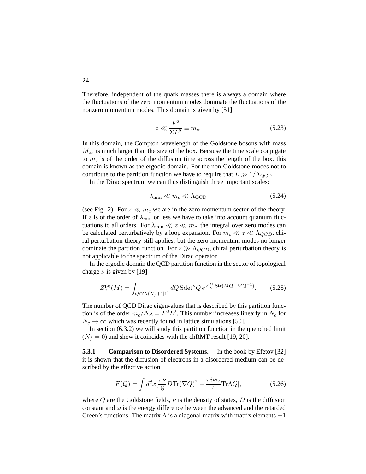Therefore, independent of the quark masses there is always a domain where the fluctuations of the zero momentum modes dominate the fluctuations of the nonzero momentum modes. This domain is given by [51]

$$
z \ll \frac{F^2}{\Sigma L^2} \equiv m_c. \tag{5.23}
$$

In this domain, the Compton wavelength of the Goldstone bosons with mass  $M_{zz}$  is much larger than the size of the box. Because the time scale conjugate to  $m<sub>c</sub>$  is of the order of the diffusion time across the length of the box, this domain is known as the ergodic domain. For the non-Goldstone modes not to contribute to the partition function we have to require that  $L \gg 1/\Lambda_{\text{QCD}}$ .

In the Dirac spectrum we can thus distinguish three important scales:

$$
\lambda_{\min} \ll m_c \ll \Lambda_{\text{QCD}} \tag{5.24}
$$

(see Fig. 2). For  $z \ll m_c$  we are in the zero momentum sector of the theory. If z is of the order of  $\lambda_{\text{min}}$  or less we have to take into account quantum fluctuations to all orders. For  $\lambda_{\min} \ll z \ll m_c$ , the integral over zero modes can be calculated perturbatively by a loop expansion. For  $m_c \ll z \ll \Lambda_{QCD}$ , chiral perturbation theory still applies, but the zero momentum modes no longer dominate the partition function. For  $z \gg \Lambda_{QCD}$ , chiral perturbation theory is not applicable to the spectrum of the Dirac operator.

In the ergodic domain the QCD partition function in the sector of topological charge  $\nu$  is given by [19]

$$
Z_{\nu}^{\text{pq}}(M) = \int_{Q \in \hat{Gl}(N_f+1|1)} dQ \,\text{Sdet}^{\nu} Q \, e^{V \frac{\Sigma}{2} \, \text{Str}(MQ + MQ^{-1})}.
$$
 (5.25)

The number of QCD Dirac eigenvalues that is described by this partition function is of the order  $m_c/\Delta\lambda = F^2L^2$ . This number increases linearly in  $N_c$  for  $N_c \rightarrow \infty$  which was recently found in lattice simulations [50].

In section  $(6.3.2)$  we will study this partition function in the quenched limit  $(N_f = 0)$  and show it coincides with the chRMT result [19, 20].

**5.3.1 Comparison to Disordered Systems.** In the book by Efetov [32] it is shown that the diffusion of electrons in a disordered medium can be described by the effective action

$$
F(Q) = \int d^d x \left[\frac{\pi \nu}{8} D \text{Tr}(\nabla Q)^2 - \frac{\pi i \nu \omega}{4} \text{Tr} \Lambda Q\right],\tag{5.26}
$$

where  $Q$  are the Goldstone fields,  $\nu$  is the density of states,  $D$  is the diffusion constant and  $\omega$  is the energy difference between the advanced and the retarded Green's functions. The matrix  $\Lambda$  is a diagonal matrix with matrix elements  $\pm 1$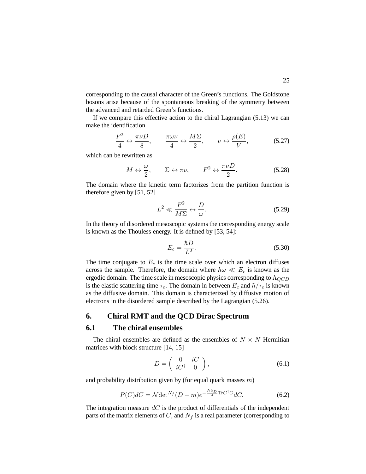corresponding to the causal character of the Green's functions. The Goldstone bosons arise because of the spontaneous breaking of the symmetry between the advanced and retarded Green's functions.

If we compare this effective action to the chiral Lagrangian (5.13) we can make the identification

$$
\frac{F^2}{4} \leftrightarrow \frac{\pi \nu D}{8}, \qquad \frac{\pi \omega \nu}{4} \leftrightarrow \frac{M\Sigma}{2}, \qquad \nu \leftrightarrow \frac{\rho(E)}{V}, \tag{5.27}
$$

which can be rewritten as

$$
M \leftrightarrow \frac{\omega}{2}, \qquad \Sigma \leftrightarrow \pi \nu, \qquad F^2 \leftrightarrow \frac{\pi \nu D}{2}.
$$
 (5.28)

The domain where the kinetic term factorizes from the partition function is therefore given by [51, 52]

$$
L^2 \ll \frac{F^2}{M\Sigma} \leftrightarrow \frac{D}{\omega}.\tag{5.29}
$$

In the theory of disordered mesoscopic systems the corresponding energy scale is known as the Thouless energy. It is defined by [53, 54]:

$$
E_c = \frac{\hbar D}{L^2},\tag{5.30}
$$

The time conjugate to  $E_c$  is the time scale over which an electron diffuses across the sample. Therefore, the domain where  $\hbar \omega \ll E_c$  is known as the ergodic domain. The time scale in mesoscopic physics corresponding to  $\Lambda_{QCD}$ is the elastic scattering time  $\tau_e$ . The domain in between  $E_c$  and  $\hbar/\tau_e$  is known as the diffusive domain. This domain is characterized by diffusive motion of electrons in the disordered sample described by the Lagrangian (5.26).

### **6. Chiral RMT and the QCD Dirac Spectrum**

### **6.1 The chiral ensembles**

The chiral ensembles are defined as the ensembles of  $N \times N$  Hermitian matrices with block structure [14, 15]

$$
D = \left(\begin{array}{cc} 0 & iC \\ iC^{\dagger} & 0 \end{array}\right),\tag{6.1}
$$

and probability distribution given by (for equal quark masses  $m$ )

$$
P(C)dC = \mathcal{N} \det^{N_f} (D+m)e^{-\frac{N\beta_D}{4}\text{Tr}C^{\dagger}C}dC.
$$
 (6.2)

The integration measure  $dC$  is the product of differentials of the independent parts of the matrix elements of  $C$ , and  $N_f$  is a real parameter (corresponding to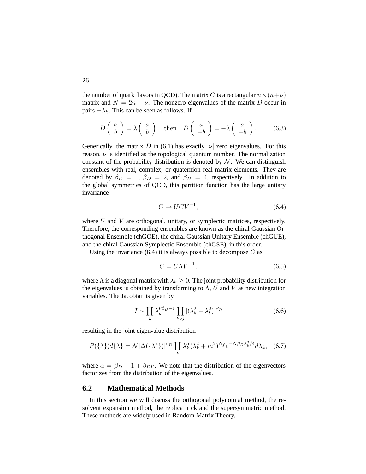the number of quark flavors in QCD). The matrix C is a rectangular  $n \times (n+\nu)$ matrix and  $N = 2n + \nu$ . The nonzero eigenvalues of the matrix D occur in pairs  $\pm \lambda_k$ . This can be seen as follows. If

$$
D\left(\begin{array}{c}a\\b\end{array}\right)=\lambda\left(\begin{array}{c}a\\b\end{array}\right)\quad\text{then}\quad D\left(\begin{array}{c}a\\-b\end{array}\right)=-\lambda\left(\begin{array}{c}a\\-b\end{array}\right).
$$
 (6.3)

Generically, the matrix D in (6.1) has exactly  $|\nu|$  zero eigenvalues. For this reason,  $\nu$  is identified as the topological quantum number. The normalization constant of the probability distribution is denoted by  $N$ . We can distinguish ensembles with real, complex, or quaternion real matrix elements. They are denoted by  $\beta_D = 1$ ,  $\beta_D = 2$ , and  $\beta_D = 4$ , respectively. In addition to the global symmetries of QCD, this partition function has the large unitary invariance

$$
C \to UCV^{-1},\tag{6.4}
$$

where  $U$  and  $V$  are orthogonal, unitary, or symplectic matrices, respectively. Therefore, the corresponding ensembles are known as the chiral Gaussian Orthogonal Ensemble (chGOE), the chiral Gaussian Unitary Ensemble (chGUE), and the chiral Gaussian Symplectic Ensemble (chGSE), in this order.

Using the invariance  $(6.4)$  it is always possible to decompose C as

$$
C = U\Lambda V^{-1},\tag{6.5}
$$

where  $\Lambda$  is a diagonal matrix with  $\lambda_k \geq 0$ . The joint probability distribution for the eigenvalues is obtained by transforming to  $\Lambda$ , U and V as new integration variables. The Jacobian is given by

$$
J \sim \prod_k \lambda_k^{\nu\beta_D - 1} \prod_{k < l} |(\lambda_k^2 - \lambda_l^2)|^{\beta_D} \tag{6.6}
$$

resulting in the joint eigenvalue distribution

$$
P(\{\lambda\})d\{\lambda\} = \mathcal{N}|\Delta(\{\lambda^2\})|^{\beta_D} \prod_k \lambda_k^{\alpha} (\lambda_k^2 + m^2)^{N_f} e^{-N\beta_D \lambda_k^2/4} d\lambda_k, \quad (6.7)
$$

where  $\alpha = \beta_D - 1 + \beta_D \nu$ . We note that the distribution of the eigenvectors factorizes from the distribution of the eigenvalues.

#### **6.2 Mathematical Methods**

In this section we will discuss the orthogonal polynomial method, the resolvent expansion method, the replica trick and the supersymmetric method. These methods are widely used in Random Matrix Theory.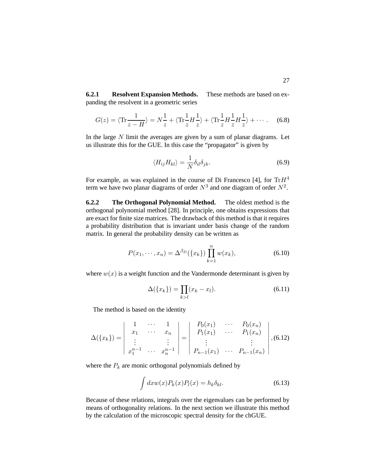**6.2.1 Resolvent Expansion Methods.** These methods are based on expanding the resolvent in a geometric series

$$
G(z) = \langle \text{Tr} \frac{1}{z - H} \rangle = N \frac{1}{z} + \langle \text{Tr} \frac{1}{z} H \frac{1}{z} \rangle + \langle \text{Tr} \frac{1}{z} H \frac{1}{z} H \frac{1}{z} \rangle + \cdots
$$
 (6.8)

In the large  $N$  limit the averages are given by a sum of planar diagrams. Let us illustrate this for the GUE. In this case the "propagator" is given by

$$
\langle H_{ij} H_{kl} \rangle = \frac{1}{N} \delta_{il} \delta_{jk}.
$$
\n(6.9)

For example, as was explained in the course of Di Francesco [4], for  $\text{Tr}H^4$ term we have two planar diagrams of order  $N^3$  and one diagram of order  $N^2$ .

**6.2.2 The Orthogonal Polynomial Method.** The oldest method is the orthogonal polynomial method [28]. In principle, one obtains expressions that are exact for finite size matrices. The drawback of this method is that it requires a probability distribution that is invariant under basis change of the random matrix. In general the probability density can be written as

$$
P(x_1, \dots, x_n) = \Delta^{\beta_D}(\{x_k\}) \prod_{k=1}^n w(x_k), \tag{6.10}
$$

where  $w(x)$  is a weight function and the Vandermonde determinant is given by

$$
\Delta(\lbrace x_k \rbrace) = \prod_{k>l} (x_k - x_l). \tag{6.11}
$$

The method is based on the identity

$$
\Delta(\{x_k\}) = \begin{vmatrix} 1 & \cdots & 1 \\ x_1 & \cdots & x_n \\ \vdots & & \vdots \\ x_1^{n-1} & \cdots & x_n^{n-1} \end{vmatrix} = \begin{vmatrix} P_0(x_1) & \cdots & P_0(x_n) \\ P_1(x_1) & \cdots & P_1(x_n) \\ \vdots & & \vdots \\ P_{n-1}(x_1) & \cdots & P_{n-1}(x_n) \end{vmatrix}, (6.12)
$$

where the  $P_k$  are monic orthogonal polynomials defined by

$$
\int dx w(x) P_k(x) P_l(x) = h_k \delta_{kl}.
$$
\n(6.13)

Because of these relations, integrals over the eigenvalues can be performed by means of orthogonality relations. In the next section we illustrate this method by the calculation of the microscopic spectral density for the chGUE.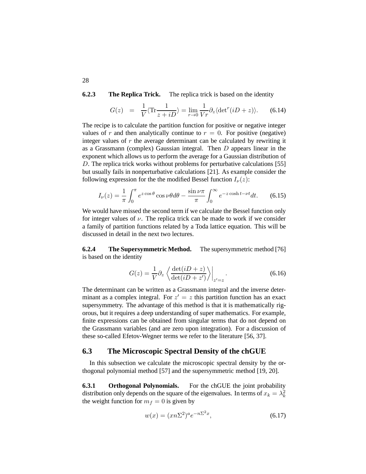**6.2.3** The Replica Trick. The replica trick is based on the identity

$$
G(z) = \frac{1}{V} \langle \text{Tr} \frac{1}{z + iD} \rangle = \lim_{r \to 0} \frac{1}{Vr} \partial_z \langle \det^r(iD + z) \rangle.
$$
 (6.14)

The recipe is to calculate the partition function for positive or negative integer values of r and then analytically continue to  $r = 0$ . For positive (negative) integer values of  $r$  the average determinant can be calculated by rewriting it as a Grassmann (complex) Gaussian integral. Then D appears linear in the exponent which allows us to perform the average for a Gaussian distribution of D. The replica trick works without problems for perturbative calculations [55] but usually fails in nonperturbative calculations [21]. As example consider the following expression for the the modified Bessel function  $I_{\nu}(z)$ :

$$
I_{\nu}(z) = \frac{1}{\pi} \int_0^{\pi} e^{z \cos \theta} \cos \nu \theta d\theta - \frac{\sin \nu \pi}{\pi} \int_0^{\infty} e^{-z \cosh t - \nu t} dt. \tag{6.15}
$$

We would have missed the second term if we calculate the Bessel function only for integer values of  $\nu$ . The replica trick can be made to work if we consider a family of partition functions related by a Toda lattice equation. This will be discussed in detail in the next two lectures.

**6.2.4** The Supersymmetric Method. The supersymmetric method [76] is based on the identity

$$
G(z) = \frac{1}{V} \partial_z \left\langle \frac{\det(iD+z)}{\det(iD+z')} \right\rangle \Big|_{z'=z}.
$$
 (6.16)

The determinant can be written as a Grassmann integral and the inverse determinant as a complex integral. For  $z' = z$  this partition function has an exact supersymmetry. The advantage of this method is that it is mathematically rigorous, but it requires a deep understanding of super mathematics. For example, finite expressions can be obtained from singular terms that do not depend on the Grassmann variables (and are zero upon integration). For a discussion of these so-called Efetov-Wegner terms we refer to the literature [56, 37].

### **6.3 The Microscopic Spectral Density of the chGUE**

In this subsection we calculate the microscopic spectral density by the orthogonal polynomial method [57] and the supersymmetric method [19, 20].

**6.3.1 Orthogonal Polynomials.** For the chGUE the joint probability distribution only depends on the square of the eigenvalues. In terms of  $x_k = \lambda_k^2$ the weight function for  $m_f = 0$  is given by

$$
w(x) = (xn\Sigma^2)^a e^{-n\Sigma^2 x},\tag{6.17}
$$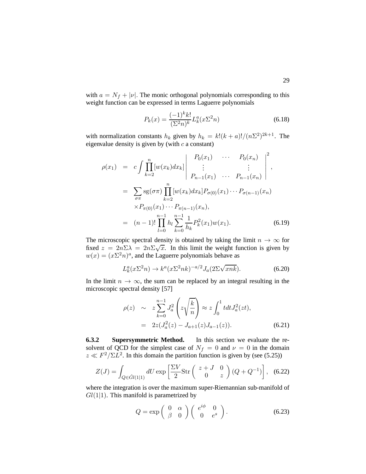with  $a = N_f + |\nu|$ . The monic orthogonal polynomials corresponding to this weight function can be expressed in terms Laguerre polynomials

$$
P_k(x) = \frac{(-1)^k k!}{(\Sigma^2 n)^k} L_k^a(x \Sigma^2 n)
$$
\n(6.18)

with normalization constants  $h_k$  given by  $h_k = k!(k+a)!/(n\Sigma^2)^{2k+1}$ . The eigenvalue density is given by (with  $c$  a constant)

$$
\rho(x_1) = c \int \prod_{k=2}^n [w(x_k) dx_k] \begin{vmatrix} P_0(x_1) & \cdots & P_0(x_n) \\ \vdots & & \vdots \\ P_{n-1}(x_1) & \cdots & P_{n-1}(x_n) \end{vmatrix}^2,
$$
  
\n
$$
= \sum_{\substack{\sigma \pi \\ \pi \neq (0)}} s g(\sigma \pi) \prod_{k=2}^n [w(x_k) dx_k] P_{\sigma(0)}(x_1) \cdots P_{\sigma(n-1)}(x_n)
$$
  
\n
$$
\times P_{\pi(0)}(x_1) \cdots P_{\pi(n-1)}(x_n),
$$
  
\n
$$
= (n-1)! \prod_{l=0}^{n-1} h_l \sum_{k=0}^{n-1} \frac{1}{h_k} P_k^2(x_1) w(x_1).
$$
 (6.19)

The microscopic spectral density is obtained by taking the limit  $n \to \infty$  for fixed  $z = 2n\Sigma\lambda = 2n\Sigma\sqrt{x}$ . In this limit the weight function is given by  $w(x) = (x\Sigma^2 n)^a$ , and the Laguerre polynomials behave as

$$
L_k^a(x\Sigma^2 n) \to k^a(x\Sigma^2 nk)^{-a/2} J_a(2\Sigma \sqrt{xnk}).\tag{6.20}
$$

In the limit  $n \to \infty$ , the sum can be replaced by an integral resulting in the microscopic spectral density [57]

$$
\rho(z) \sim z \sum_{k=0}^{n-1} J_a^2 \left( z \sqrt{\frac{k}{n}} \right) \approx z \int_0^1 t dt J_a^2(zt),
$$
  
=  $2z(J_a^2(z) - J_{a+1}(z)J_{a-1}(z)).$  (6.21)

**6.3.2 Supersymmetric Method.** In this section we evaluate the resolvent of QCD for the simplest case of  $N_f = 0$  and  $\nu = 0$  in the domain  $z \ll F^2 / \Sigma L^2$ . In this domain the partition function is given by (see (5.25))

$$
Z(J) = \int_{Q \in \hat{G}l(1|1)} dU \exp\left[\frac{\Sigma V}{2} \text{Str}\left(\begin{array}{cc} z+J & 0\\ 0 & z \end{array}\right) (Q+Q^{-1})\right], \quad (6.22)
$$

where the integration is over the maximum super-Riemannian sub-manifold of  $Gl(1|1)$ . This manifold is parametrized by

$$
Q = \exp\left(\begin{array}{cc} 0 & \alpha \\ \beta & 0 \end{array}\right) \left(\begin{array}{cc} e^{i\phi} & 0 \\ 0 & e^s \end{array}\right). \tag{6.23}
$$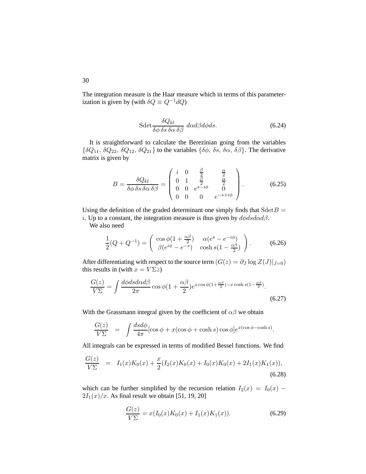The integration measure is the Haar measure which in terms of this parameterization is given by (with  $\delta Q \equiv Q^{-1} dQ$ )

$$
S\det \frac{\delta Q_{kl}}{\delta \phi \delta s \delta \alpha \delta \beta} d\alpha d\beta d\phi ds. \tag{6.24}
$$

It is straightforward to calculate the Berezinian going from the variables  $\{\delta Q_{11}, \delta Q_{22}, \delta Q_{12}, \delta Q_{21}\}\$  to the variables  $\{\delta \phi, \delta s, \delta \alpha, \delta \beta\}$ . The derivative matrix is given by

$$
B = \frac{\delta Q_{kl}}{\delta \phi \, \delta s \, \delta \alpha \, \delta \beta} = \begin{pmatrix} i & 0 & \frac{\beta}{2} & \frac{\alpha}{2} \\ 0 & 1 & \frac{\beta}{2} & \frac{\alpha}{2} \\ 0 & 0 & e^{s-i\phi} & 0 \\ 0 & 0 & 0 & e^{-s+i\phi} \end{pmatrix} . \tag{6.25}
$$

Using the definition of the graded determinant one simply finds that  $SdetB =$ i. Up to a constant, the integration measure is thus given by  $d\phi ds d\alpha d\beta$ .

We also need

$$
\frac{1}{2}(Q+Q^{-1}) = \begin{pmatrix} \cos\phi(1+\frac{\alpha\beta}{2}) & \alpha(e^s - e^{-i\phi}) \\ \beta(e^{i\phi} - e^{-s}) & \cosh s(1-\frac{\alpha\beta}{2}) \end{pmatrix}.
$$
 (6.26)

After differentiating with respect to the source term  $(G(z) = \partial_J \log Z(J)|_{J=0})$ this results in (with  $x = V\Sigma z$ )

$$
\frac{G(z)}{V\Sigma} = \int \frac{d\phi ds d\alpha d\beta}{2\pi} \cos\phi (1 + \frac{\alpha\beta}{2}) e^{x \cos\phi (1 + \frac{\alpha\beta}{2}) - x \cosh s (1 - \frac{\alpha\beta}{2})}.
$$
\n(6.27)

With the Grassmann integral given by the coefficient of  $\alpha\beta$  we obtain

$$
\frac{G(z)}{V\Sigma} = \int \frac{ds d\phi}{4\pi} [\cos\phi + x(\cos\phi + \cosh s)\cos\phi] e^{x(\cos\phi - \cosh s)}.
$$

All integrals can be expressed in terms of modified Bessel functions. We find

$$
\frac{G(z)}{V\Sigma} = I_1(x)K_0(x) + \frac{x}{2}(I_2(x)K_0(x) + I_0(x)K_0(x) + 2I_1(x)K_1(x)),
$$
\n(6.28)

which can be further simplified by the recursion relation  $I_2(x) = I_0(x) 2I_1(x)/x$ . As final result we obtain [51, 19, 20]

$$
\frac{G(z)}{V\Sigma} = x(I_0(x)K_0(x) + I_1(x)K_1(x)).
$$
\n(6.29)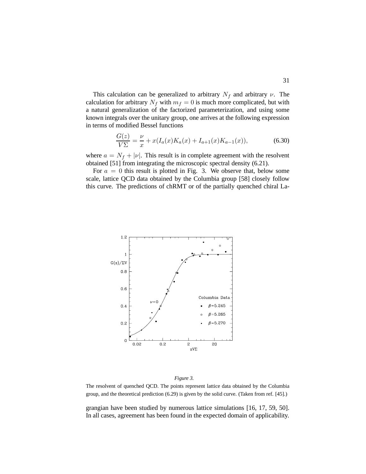This calculation can be generalized to arbitrary  $N_f$  and arbitrary  $\nu$ . The calculation for arbitrary  $N_f$  with  $m_f = 0$  is much more complicated, but with a natural generalization of the factorized parameterization, and using some known integrals over the unitary group, one arrives at the following expression in terms of modified Bessel functions

$$
\frac{G(z)}{V\Sigma} = \frac{\nu}{x} + x(I_a(x)K_a(x) + I_{a+1}(x)K_{a-1}(x)),\tag{6.30}
$$

where  $a = N_f + |\nu|$ . This result is in complete agreement with the resolvent obtained [51] from integrating the microscopic spectral density (6.21).

For  $a = 0$  this result is plotted in Fig. 3. We observe that, below some scale, lattice QCD data obtained by the Columbia group [58] closely follow this curve. The predictions of chRMT or of the partially quenched chiral La-





The resolvent of quenched QCD. The points represent lattice data obtained by the Columbia group, and the theoretical prediction (6.29) is given by the solid curve. (Taken from ref. [45].)

grangian have been studied by numerous lattice simulations [16, 17, 59, 50]. In all cases, agreement has been found in the expected domain of applicability.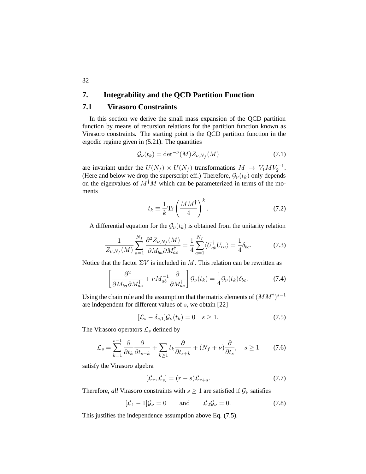### **7. Integrability and the QCD Partition Function**

### **7.1 Virasoro Constraints**

In this section we derive the small mass expansion of the QCD partition function by means of recursion relations for the partition function known as Virasoro constraints. The starting point is the QCD partition function in the ergodic regime given in (5.21). The quantities

$$
\mathcal{G}_{\nu}(t_k) = \det^{-\nu}(M) Z_{\nu, N_f}(M) \tag{7.1}
$$

are invariant under the  $U(N_f) \times U(N_f)$  transformations  $M \to V_1 M V_2^{-1}$ . (Here and below we drop the superscript eff.) Therefore,  $\mathcal{G}_{\nu}(t_k)$  only depends on the eigenvalues of  $M^{\dagger}M$  which can be parameterized in terms of the moments

$$
t_k \equiv \frac{1}{k} \text{Tr} \left( \frac{MM^\dagger}{4} \right)^k. \tag{7.2}
$$

A differential equation for the  $G_{\nu}(t_k)$  is obtained from the unitarity relation

$$
\frac{1}{Z_{\nu,N_f}(M)}\sum_{a=1}^{N_f} \frac{\partial^2 Z_{\nu,N_f}(M)}{\partial M_{ba} \partial M_{ac}^{\dagger}} = \frac{1}{4} \sum_{a=1}^{N_f} \langle U_{ab}^{\dagger} U_{ca} \rangle = \frac{1}{4} \delta_{bc}.
$$
 (7.3)

Notice that the factor  $\Sigma V$  is included in M. This relation can be rewritten as

$$
\left[\frac{\partial^2}{\partial M_{ba}\partial M_{ac}^\dagger} + \nu M_{ab}^{-1} \frac{\partial}{\partial M_{ac}^\dagger}\right] \mathcal{G}_{\nu}(t_k) = \frac{1}{4} \mathcal{G}_{\nu}(t_k) \delta_{bc}.
$$
 (7.4)

Using the chain rule and the assumption that the matrix elements of  $(MM^{\dagger})^{s-1}$ are independent for different values of  $s$ , we obtain [22]

$$
[\mathcal{L}_s - \delta_{s,1}]\mathcal{G}_{\nu}(t_k) = 0 \quad s \ge 1. \tag{7.5}
$$

The Virasoro operators  $\mathcal{L}_s$  defined by

$$
\mathcal{L}_s = \sum_{k=1}^{s-1} \frac{\partial}{\partial t_k} \frac{\partial}{\partial t_{s-k}} + \sum_{k \ge 1} t_k \frac{\partial}{\partial t_{s+k}} + (N_f + \nu) \frac{\partial}{\partial t_s}, \quad s \ge 1 \tag{7.6}
$$

satisfy the Virasoro algebra

$$
[\mathcal{L}_r, \mathcal{L}_s] = (r - s)\mathcal{L}_{r+s}.
$$
\n(7.7)

Therefore, *all* Virasoro constraints with  $s \geq 1$  are satisfied if  $\mathcal{G}_{\nu}$  satisfies

$$
[\mathcal{L}_1 - 1]\mathcal{G}_{\nu} = 0 \quad \text{and} \quad \mathcal{L}_2 \mathcal{G}_{\nu} = 0. \tag{7.8}
$$

This justifies the independence assumption above Eq. (7.5).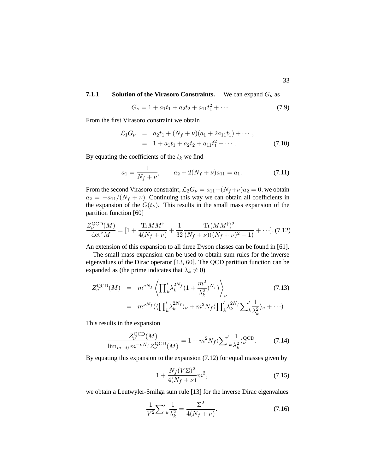#### **7.1.1** Solution of the Virasoro Constraints. We can expand  $G_\nu$  as

$$
G_{\nu} = 1 + a_1 t_1 + a_2 t_2 + a_{11} t_1^2 + \cdots
$$
 (7.9)

From the first Virasoro constraint we obtain

$$
\mathcal{L}_1 G_\nu = a_2 t_1 + (N_f + \nu)(a_1 + 2a_{11}t_1) + \cdots ,
$$
  
= 1 + a\_1 t\_1 + a\_2 t\_2 + a\_{11} t\_1^2 + \cdots . (7.10)

By equating the coefficients of the  $t_k$  we find

$$
a_1 = \frac{1}{N_f + \nu}, \qquad a_2 + 2(N_f + \nu)a_{11} = a_1. \tag{7.11}
$$

From the second Virasoro constraint,  $\mathcal{L}_2 G_\nu = a_{11} + (N_f + \nu)a_2 = 0$ , we obtain  $a_2 = -a_{11}/(N_f + \nu)$ . Continuing this way we can obtain all coefficients in the expansion of the  $G(t_k)$ . This results in the small mass expansion of the partition function [60]

$$
\frac{Z_{\nu}^{\text{QCD}}(M)}{\det^{\nu} M} = [1 + \frac{\text{Tr}MM^{\dagger}}{4(N_f + \nu)} + \frac{1}{32} \frac{\text{Tr}(MM^{\dagger})^2}{(N_f + \nu)((N_f + \nu)^2 - 1)} + \cdots].
$$
 (7.12)

An extension of this expansion to all three Dyson classes can be found in [61].

The small mass expansion can be used to obtain sum rules for the inverse eigenvalues of the Dirac operator [13, 60]. The QCD partition function can be expanded as (the prime indicates that  $\lambda_k \neq 0$ )

$$
Z_{\nu}^{\text{QCD}}(M) = m^{\nu N_f} \left\langle \prod_{k} \lambda_k^{2N_f} (1 + \frac{m^2}{\lambda_k^2})^{N_f} \right\rangle_{\nu}
$$
\n
$$
= m^{\nu N_f} (\langle \prod_{k} \lambda_k^{2N_f} \rangle_{\nu} + m^2 N_f \langle \prod_{k} \lambda_k^{2N_f} \sum_{k} \frac{1}{\lambda_k^2} \rangle_{\nu} + \cdots)
$$
\n(7.13)

This results in the expansion

$$
\frac{Z_{\nu}^{\text{QCD}}(M)}{\lim_{m\to 0} m^{-\nu N_f} Z_{\nu}^{\text{QCD}}(M)} = 1 + m^2 N_f \langle \sum'_{k} \frac{1}{\lambda_k^2} \rangle_{\nu}^{\text{QCD}}.
$$
 (7.14)

By equating this expansion to the expansion (7.12) for equal masses given by

$$
1 + \frac{N_f(V\Sigma)^2}{4(N_f + \nu)} m^2,
$$
\n(7.15)

we obtain a Leutwyler-Smilga sum rule [13] for the inverse Dirac eigenvalues

$$
\frac{1}{V^2} \sum_{k}^{\prime} \frac{1}{\lambda_k^2} = \frac{\Sigma^2}{4(N_f + \nu)}.
$$
\n(7.16)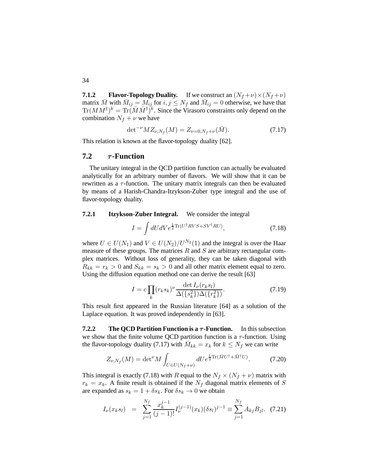**7.1.2 Flavor-Topology Duality.** If we construct an  $(N_f + \nu) \times (N_f + \nu)$ matrix  $\overline{M}$  with  $\overline{M}_{ij} = M_{ij}$  for  $i, j \le N_f$  and  $\overline{M}_{ij} = 0$  otherwise, we have that  $\text{Tr}(MM^{\dagger})^k = \text{Tr}(\overline{M}\overline{M}^{\dagger})^k$ . Since the Virasoro constraints only depend on the combination  $N_f + \nu$  we have

$$
\det^{-\nu} M Z_{\nu, N_f}(M) = Z_{\nu=0, N_f+\nu}(\bar{M}).\tag{7.17}
$$

This relation is known at the flavor-topology duality [62].

### **7.2**  $\tau$ -**Function**

The unitary integral in the QCD partition function can actually be evaluated analytically for an arbitrary number of flavors. We will show that it can be rewritten as a  $\tau$ -function. The unitary matrix integrals can then be evaluated by means of a Harish-Chandra-Itzykson-Zuber type integral and the use of flavor-topology duality.

#### **7.2.1 Itzykson-Zuber Integral.** We consider the integral

$$
I = \int dU dV e^{\frac{1}{2} \text{Tr}(U^{\dagger} RVS + SV^{\dagger} RU)}, \tag{7.18}
$$

where  $U \in U(N_1)$  and  $V \in U(N_2)/U^{N_2}(1)$  and the integral is over the Haar measure of these groups. The matrices  $R$  and  $S$  are arbitrary rectangular complex matrices. Without loss of generality, they can be taken diagonal with  $R_{kk} = r_k > 0$  and  $S_{kk} = s_k > 0$  and all other matrix element equal to zero. Using the diffusion equation method one can derive the result [63]

$$
I = c \prod_{k} (r_k s_k)^{\nu} \frac{\det I_{\nu}(r_k s_l)}{\Delta(\{s_k^2\}) \Delta(\{r_k^2\})}.
$$
 (7.19)

This result first appeared in the Russian literature [64] as a solution of the Laplace equation. It was proved independently in [63].

**7.2.2 The QCD Partition Function is a** τ**-Function.** In this subsection we show that the finite volume QCD partition function is a  $\tau$ -function. Using the flavor-topology duality (7.17) with  $\overline{M}_{kk} = x_k$  for  $k \le N_f$  we can write

$$
Z_{\nu,N_f}(M) = \det^{\nu} M \int_{U \in U(N_f + \nu)} dU e^{\frac{1}{2} \text{Tr}(\bar{M} U^{\dagger} + \bar{M}^{\dagger} U)}.
$$
 (7.20)

This integral is exactly (7.18) with R equal to the  $N_f \times (N_f + \nu)$  matrix with  $r_k = x_k$ . A finite result is obtained if the  $N_f$  diagonal matrix elements of S are expanded as  $s_k = 1 + \delta s_k$ . For  $\delta s_k \to 0$  we obtain

$$
I_{\nu}(x_{k}s_{l}) = \sum_{j=1}^{N_{f}} \frac{x_{k}^{j-1}}{(j-1)!} I_{\nu}^{(j-1)}(x_{k})(\delta s_{l})^{j-1} \equiv \sum_{j=1}^{N_{f}} A_{kj} B_{jl}.
$$
 (7.21)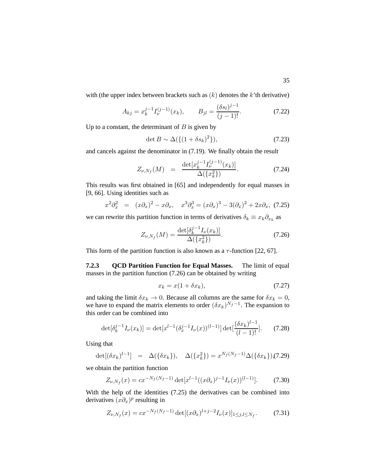with (the upper index between brackets such as  $(k)$  denotes the  $k$ 'th derivative)

$$
A_{kj} = x_k^{j-1} I_{\nu}^{(j-1)}(x_k), \qquad B_{jl} = \frac{(\delta s_l)^{j-1}}{(j-1)!}.
$$
 (7.22)

Up to a constant, the determinant of  $B$  is given by

$$
\det B \sim \Delta(\{(1+\delta s_k)^2\}),\tag{7.23}
$$

and cancels against the denominator in (7.19). We finally obtain the result

$$
Z_{\nu, N_f}(M) = \frac{\det[x_k^{j-1} I_\nu^{(j-1)}(x_k)]}{\Delta(\{x_k^2\})}.
$$
\n(7.24)

This results was first obtained in [65] and independently for equal masses in [9, 66]. Using identities such as

$$
x^2 \partial_x^2 = (x \partial_x)^2 - x \partial_x, \quad x^3 \partial_x^3 = (x \partial_x)^3 - 3(\partial_x)^2 + 2x \partial_x, \tag{7.25}
$$

we can rewrite this partition function in terms of derivatives  $\delta_k \equiv x_k \partial_{x_k}$  as

$$
Z_{\nu,N_f}(M) = \frac{\det[\delta_k^{j-1} I_{\nu}(x_k)]}{\Delta(\{x_k^2\})}.
$$
\n(7.26)

This form of the partition function is also known as a  $\tau$ -function [22, 67].

**7.2.3 QCD Partition Function for Equal Masses.** The limit of equal masses in the partition function (7.26) can be obtained by writing

$$
x_k = x(1 + \delta x_k),\tag{7.27}
$$

and taking the limit  $\delta x_k \to 0$ . Because all columns are the same for  $\delta x_k = 0$ , we have to expand the matrix elements to order  $(\delta x_k)^{N_f-1}$ . The expansion to this order can be combined into

$$
\det[\delta_k^{j-1} I_\nu(x_k)] = \det[x^{l-1} (\delta_x^{j-1} I_\nu(x))^{(l-1)}] \det[\frac{(\delta x_k)^{l-1}}{(l-1)!}].
$$
 (7.28)

Using that

$$
\det[(\delta x_k)^{l-1}] = \Delta(\{\delta x_k\}), \quad \Delta(\{x_k^2\}) = x^{N_f(N_f-1)}\Delta(\{\delta x_k\})
$$
(7.29)

we obtain the partition function

$$
Z_{\nu,N_f}(x) = cx^{-N_f(N_f-1)} \det[x^{l-1}((x\partial_x)^{j-1}I_\nu(x))^{(l-1)}].
$$
 (7.30)

With the help of the identities (7.25) the derivatives can be combined into derivatives  $(x\partial_x)^p$  resulting in

$$
Z_{\nu, N_f}(x) = cx^{-N_f(N_f-1)} \det[(x\partial_x)^{l+j-2} I_{\nu}(x)]_{1 \le j,l \le N_f}.
$$
 (7.31)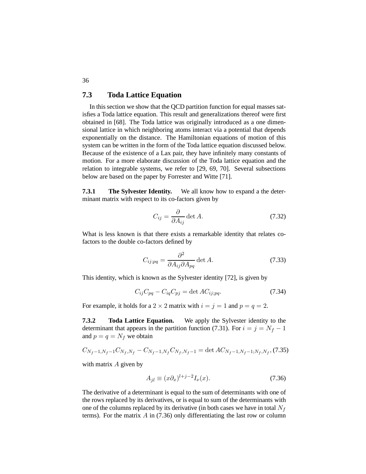### **7.3 Toda Lattice Equation**

In this section we show that the QCD partition function for equal masses satisfies a Toda lattice equation. This result and generalizations thereof were first obtained in [68]. The Toda lattice was originally introduced as a one dimensional lattice in which neighboring atoms interact via a potential that depends exponentially on the distance. The Hamiltonian equations of motion of this system can be written in the form of the Toda lattice equation discussed below. Because of the existence of a Lax pair, they have infinitely many constants of motion. For a more elaborate discussion of the Toda lattice equation and the relation to integrable systems, we refer to [29, 69, 70]. Several subsections below are based on the paper by Forrester and Witte [71].

**7.3.1** The Sylvester Identity. We all know how to expand a the determinant matrix with respect to its co-factors given by

$$
C_{ij} = \frac{\partial}{\partial A_{ij}} \det A. \tag{7.32}
$$

What is less known is that there exists a remarkable identity that relates cofactors to the double co-factors defined by

$$
C_{ij;pq} = \frac{\partial^2}{\partial A_{ij}\partial A_{pq}} \det A.
$$
 (7.33)

This identity, which is known as the Sylvester identity [72], is given by

$$
C_{ij}C_{pq} - C_{iq}C_{pj} = \det AC_{ij;pq}.
$$
\n(7.34)

For example, it holds for a 2  $\times$  2 matrix with  $i = j = 1$  and  $p = q = 2$ .

**7.3.2 Toda Lattice Equation.** We apply the Sylvester identity to the determinant that appears in the partition function (7.31). For  $i = j = N_f - 1$ and  $p = q = N_f$  we obtain

$$
C_{N_f-1,N_f-1}C_{N_f,N_f}-C_{N_f-1,N_f}C_{N_f,N_f-1}=\det AC_{N_f-1,N_f-1;N_f,N_f}, (7.35)
$$

with matrix  $A$  given by

$$
A_{jl} \equiv (x\partial_x)^{l+j-2} I_{\nu}(x). \tag{7.36}
$$

The derivative of a determinant is equal to the sum of determinants with one of the rows replaced by its derivatives, or is equal to sum of the determinants with one of the columns replaced by its derivative (in both cases we have in total  $N_f$ terms). For the matrix  $\hat{A}$  in (7.36) only differentiating the last row or column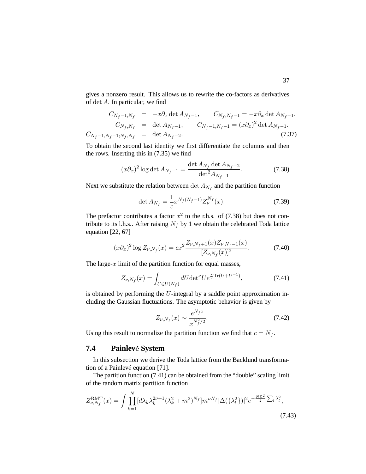gives a nonzero result. This allows us to rewrite the co-factors as derivatives of det A. In particular, we find

$$
C_{N_f-1,N_f} = -x\partial_x \det A_{N_f-1}, \qquad C_{N_f,N_f-1} = -x\partial_x \det A_{N_f-1},
$$
  
\n
$$
C_{N_f,N_f} = \det A_{N_f-1}, \qquad C_{N_f-1,N_f-1} = (x\partial_x)^2 \det A_{N_f-1}.
$$
  
\n
$$
C_{N_f-1,N_f-1;N_f,N_f} = \det A_{N_f-2}.
$$
\n(7.37)

To obtain the second last identity we first differentiate the columns and then the rows. Inserting this in (7.35) we find

$$
(x\partial_x)^2 \log \det A_{N_f - 1} = \frac{\det A_{N_f} \det A_{N_f - 2}}{\det^2 A_{N_f - 1}}.
$$
 (7.38)

Next we substitute the relation between  $\det A_{N_f}$  and the partition function

$$
\det A_{N_f} = \frac{1}{c} x^{N_f(N_f - 1)} Z_{\nu}^{N_f}(x). \tag{7.39}
$$

The prefactor contributes a factor  $x^2$  to the r.h.s. of (7.38) but does not contribute to its l.h.s.. After raising  $N_f$  by 1 we obtain the celebrated Toda lattice equation [22, 67]

$$
(x\partial_x)^2 \log Z_{\nu, N_f}(x) = cx^2 \frac{Z_{\nu, N_f+1}(x)Z_{\nu, N_f-1}(x)}{[Z_{\nu, N_f}(x)]^2}.
$$
 (7.40)

The large- $x$  limit of the partition function for equal masses,

$$
Z_{\nu, N_f}(x) = \int_{U \in U(N_f)} dU \det^{\nu} U e^{\frac{x}{2} \text{Tr}(U + U^{-1})}, \tag{7.41}
$$

is obtained by performing the  $U$ -integral by a saddle point approximation including the Gaussian fluctuations. The asymptotic behavior is given by

$$
Z_{\nu, N_f}(x) \sim \frac{e^{N_f x}}{x^{N_f^2/2}}.\tag{7.42}
$$

Using this result to normalize the partition function we find that  $c = N_f$ .

### **7.4 Painlev**´e **System**

In this subsection we derive the Toda lattice from the Backlund transformation of a Painlevé equation [71].

The partition function (7.41) can be obtained from the "double" scaling limit of the random matrix partition function

$$
Z_{\nu,N_f}^{\rm RMT}(x) = \int \prod_{k=1}^{N} [d\lambda_k \lambda_k^{2\nu+1} (\lambda_k^2 + m^2)^{N_f}] m^{\nu N_f} |\Delta(\{\lambda_l^2\})|^2 e^{-\frac{N\Sigma^2}{2} \sum_l \lambda_l^2},
$$
\n(7.43)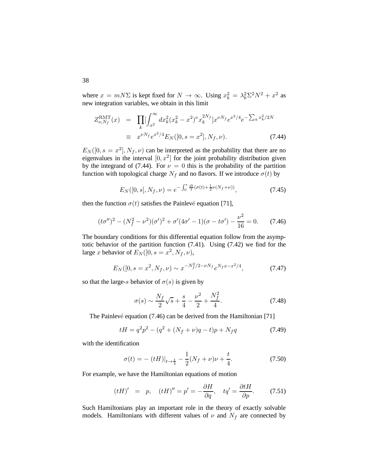where  $x = mN\Sigma$  is kept fixed for  $N \to \infty$ . Using  $x_k^2 = \lambda_k^2 \Sigma^2 N^2 + x^2$  as new integration variables, we obtain in this limit

$$
Z_{\nu, N_f}^{\text{RMT}}(x) = \prod_k \left[ \int_{x^2}^{\infty} dx_k^2 (x_k^2 - x^2)^{\nu} x_k^{2N_f} \right] x^{\nu N_f} e^{x^2/4} e^{-\sum_k x_k^2/2N}
$$
  
\n
$$
\equiv x^{\nu N_f} e^{x^2/4} E_N([0, s = x^2], N_f, \nu).
$$
 (7.44)

 $E_N([0, s = x^2], N_f, \nu)$  can be interpreted as the probability that there are no eigenvalues in the interval  $[0, x^2]$  for the joint probability distribution given by the integrand of (7.44). For  $\nu = 0$  this is the probability of the partition function with topological charge  $N_f$  and no flavors. If we introduce  $\sigma(t)$  by

$$
E_N([0, s], N_f, \nu) = e^{-\int_0^s \frac{dt}{t} (\sigma(t) + \frac{1}{2}\nu(N_f + \nu))}, \qquad (7.45)
$$

then the function  $\sigma(t)$  satisfies the Painlevé equation [71],

$$
(t\sigma'')^2 - (N_f^2 - \nu^2)(\sigma')^2 + \sigma'(4\sigma' - 1)(\sigma - t\sigma') - \frac{\nu^2}{16} = 0.
$$
 (7.46)

The boundary conditions for this differential equation follow from the asymptotic behavior of the partition function (7.41). Using (7.42) we find for the large x behavior of  $E_N([0, s = x^2, N_f, \nu)$ ,

$$
E_N([0, s = x^2, N_f, \nu) \sim x^{-N_f^2/2 - \nu N_f} e^{N_f x - x^2/4}, \qquad (7.47)
$$

so that the large-s behavior of  $\sigma(s)$  is given by

$$
\sigma(s) \sim \frac{N_f}{2}\sqrt{s} + \frac{s}{4} - \frac{\nu^2}{2} + \frac{N_f^2}{4}.
$$
\n(7.48)

The Painlevé equation  $(7.46)$  can be derived from the Hamiltonian [71]

$$
tH = q^2p^2 - (q^2 + (N_f + \nu)q - t)p + N_fq \tag{7.49}
$$

with the identification

$$
\sigma(t) = -(tH)|_{t \to \frac{t}{4}} - \frac{1}{2}(N_f + \nu)\nu + \frac{t}{4}.
$$
\n(7.50)

For example, we have the Hamiltonian equations of motion

$$
(tH)' = p, \quad (tH)'' = p' = -\frac{\partial H}{\partial q}, \quad tq' = \frac{\partial tH}{\partial p}.
$$
 (7.51)

Such Hamiltonians play an important role in the theory of exactly solvable models. Hamiltonians with different values of  $\nu$  and  $N_f$  are connected by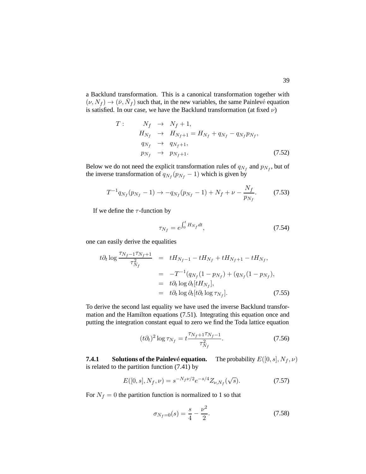a Backlund transformation. This is a canonical transformation together with  $(\nu, N_f) \rightarrow (\bar{\nu}, \bar{N}_f)$  such that, in the new variables, the same Painlevé equation is satisfied. In our case, we have the Backlund transformation (at fixed  $\nu$ )

$$
T: \t N_f \rightarrow N_f + 1,
$$
  
\n
$$
H_{N_f} \rightarrow H_{N_f+1} = H_{N_f} + q_{N_f} - q_{N_f} p_{N_f},
$$
  
\n
$$
q_{N_f} \rightarrow q_{N_f+1},
$$
  
\n
$$
p_{N_f} \rightarrow p_{N_f+1}.
$$
\n(7.52)

Below we do not need the explicit transformation rules of  $q_{N_f}$  and  $p_{N_f}$ , but of the inverse transformation of  $q_{N_f}(p_{N_f}-1)$  which is given by

$$
T^{-1}q_{N_f}(p_{N_f}-1) \to -q_{N_f}(p_{N_f}-1) + N_f + \nu - \frac{N_f}{p_{N_f}}.\tag{7.53}
$$

If we define the  $\tau$ -function by

$$
\tau_{N_f} = e^{\int_0^t H_{N_f} dt},\tag{7.54}
$$

one can easily derive the equalities

$$
t\partial_t \log \frac{\tau_{N_f - 1}\tau_{N_f+1}}{\tau_{N_f}^2} = tH_{N_f - 1} - tH_{N_f} + tH_{N_f+1} - tH_{N_f},
$$
  
=  $-T^{-1}(q_{N_f}(1 - p_{N_f}) + (q_{N_f}(1 - p_{N_f}),$   
=  $t\partial_t \log \partial_t[tH_{N_f}],$   
=  $t\partial_t \log \partial_t[t\partial_t \log \tau_{N_f}].$  (7.55)

To derive the second last equality we have used the inverse Backlund transformation and the Hamilton equations (7.51). Integrating this equation once and putting the integration constant equal to zero we find the Toda lattice equation

$$
(t\partial_t)^2 \log \tau_{N_f} = t \frac{\tau_{N_f + 1} \tau_{N_f - 1}}{\tau_{N_f}^2}.
$$
 (7.56)

**7.4.1** Solutions of the Painlevé equation. The probability  $E([0, s], N_f, \nu)$ is related to the partition function (7.41) by

$$
E([0, s], N_f, \nu) = s^{-N_f \nu/2} e^{-s/4} Z_{\nu, N_f}(\sqrt{s}).
$$
\n(7.57)

For  $N_f = 0$  the partition function is normalized to 1 so that

$$
\sigma_{N_f=0}(s) = \frac{s}{4} - \frac{\nu^2}{2}.\tag{7.58}
$$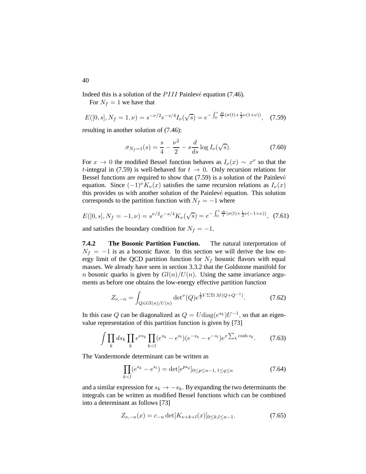Indeed this is a solution of the *PIII* Painlevé equation (7.46).

For  $N_f = 1$  we have that

$$
E([0, s], N_f = 1, \nu) = s^{-\nu/2} e^{-s/4} I_{\nu}(\sqrt{s}) = e^{-\int_0^s \frac{dt}{t} (\sigma(t) + \frac{1}{2}\nu(1+\nu))}, \quad (7.59)
$$

resulting in another solution of (7.46):

$$
\sigma_{N_f=1}(s) = \frac{s}{4} - \frac{\nu^2}{2} - s\frac{d}{ds}\log I_{\nu}(\sqrt{s}).\tag{7.60}
$$

For  $x \to 0$  the modified Bessel function behaves as  $I_{\nu}(x) \sim x^{\nu}$  so that the t-integral in (7.59) is well-behaved for  $t \to 0$ . Only recursion relations for Bessel functions are required to show that  $(7.59)$  is a solution of the Painlevé equation. Since  $(-1)^{\nu}K_{\nu}(x)$  satisfies the same recursion relations as  $I_{\nu}(x)$ this provides us with another solution of the Painlevé equation. This solution corresponds to the partition function with  $N_f = -1$  where

$$
E([0,s], N_f = -1, \nu) = s^{\nu/2} e^{-s/4} K_{\nu}(\sqrt{s}) = e^{-\int_0^s \frac{dt}{t} (\sigma(t) + \frac{1}{2}\nu(-1+\nu))}, \tag{7.61}
$$

and satisfies the boundary condition for  $N_f = -1$ .

**7.4.2 The Bosonic Partition Function.** The natural interpretation of  $N_f = -1$  is as a bosonic flavor. In this section we will derive the low energy limit of the QCD partition function for  $N_f$  bosonic flavors with equal masses. We already have seen in section 3.3.2 that the Goldstone manifold for n bosonic quarks is given by  $Gl(n)/U(n)$ . Using the same invariance arguments as before one obtains the low-energy effective partition function

$$
Z_{\nu,-n} = \int_{Q \in Gl(n)/U(n)} \det^{\nu}(Q) e^{\frac{1}{2}V\Sigma \text{Tr }M(Q+Q^{-1})}.
$$
 (7.62)

In this case Q can be diagonalized as  $Q = U \text{diag}(e^{s_k}) U^{-1}$ , so that an eigenvalue representation of this partition function is given by [73]

$$
\int \prod_k ds_k \prod_k e^{\nu s_k} \prod_{k < l} (e^{s_k} - e^{s_l})(e^{-s_k} - e^{-s_l}) e^{x \sum_k \cosh s_k}.\tag{7.63}
$$

The Vandermonde determinant can be written as

$$
\prod_{k
$$

and a similar expression for  $s_k \rightarrow -s_k$ . By expanding the two determinants the integrals can be written as modified Bessel functions which can be combined into a determinant as follows [73]

$$
Z_{\nu,-n}(x) = c_{-n} \det[K_{\nu+k+l}(x)]_{0 \le k,l \le n-1}.
$$
 (7.65)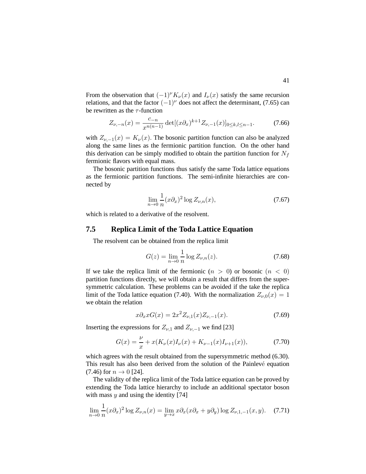From the observation that  $(-1)^{\nu}K_{\nu}(x)$  and  $I_{\nu}(x)$  satisfy the same recursion relations, and that the factor  $(-1)^{\nu}$  does not affect the determinant, (7.65) can be rewritten as the  $\tau$ -function

$$
Z_{\nu,-n}(x) = \frac{c_{-n}}{x^{n(n-1)}} \det[(x\partial_x)^{k+1} Z_{\nu,-1}(x)]_{0 \le k,l \le n-1}.
$$
 (7.66)

with  $Z_{\nu,-1}(x) = K_{\nu}(x)$ . The bosonic partition function can also be analyzed along the same lines as the fermionic partition function. On the other hand this derivation can be simply modified to obtain the partition function for  $N_f$ fermionic flavors with equal mass.

The bosonic partition functions thus satisfy the same Toda lattice equations as the fermionic partition functions. The semi-infinite hierarchies are connected by

$$
\lim_{n \to 0} \frac{1}{n} (x \partial_x)^2 \log Z_{\nu, n}(x),\tag{7.67}
$$

which is related to a derivative of the resolvent.

### **7.5 Replica Limit of the Toda Lattice Equation**

The resolvent can be obtained from the replica limit

$$
G(z) = \lim_{n \to 0} \frac{1}{n} \log Z_{\nu,n}(z).
$$
 (7.68)

If we take the replica limit of the fermionic  $(n > 0)$  or bosonic  $(n < 0)$ partition functions directly, we will obtain a result that differs from the supersymmetric calculation. These problems can be avoided if the take the replica limit of the Toda lattice equation (7.40). With the normalization  $Z_{\nu,0}(x) = 1$ we obtain the relation

$$
x\partial_x xG(x) = 2x^2 Z_{\nu,1}(x)Z_{\nu,-1}(x). \tag{7.69}
$$

Inserting the expressions for  $Z_{\nu,1}$  and  $Z_{\nu,-1}$  we find [23]

$$
G(x) = \frac{\nu}{x} + x(K_{\nu}(x)I_{\nu}(x) + K_{\nu-1}(x)I_{\nu+1}(x)),
$$
\n(7.70)

which agrees with the result obtained from the supersymmetric method (6.30). This result has also been derived from the solution of the Painlevé equation  $(7.46)$  for  $n \to 0$  [24].

The validity of the replica limit of the Toda lattice equation can be proved by extending the Toda lattice hierarchy to include an additional spectator boson with mass  $y$  and using the identity [74]

$$
\lim_{n \to 0} \frac{1}{n} (x \partial_x)^2 \log Z_{\nu, n}(x) = \lim_{y \to x} x \partial_x (x \partial_x + y \partial_y) \log Z_{\nu, 1, -1}(x, y). \tag{7.71}
$$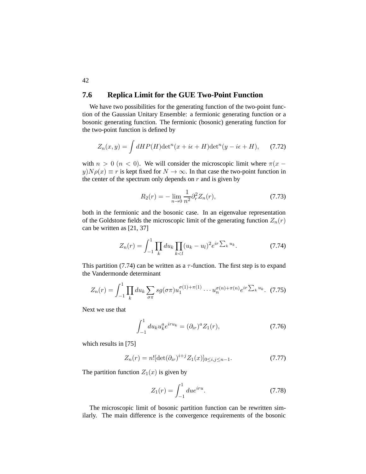## **7.6 Replica Limit for the GUE Two-Point Function**

We have two possibilities for the generating function of the two-point function of the Gaussian Unitary Ensemble: a fermionic generating function or a bosonic generating function. The fermionic (bosonic) generating function for the two-point function is defined by

$$
Z_n(x,y) = \int dH P(H) \det^n(x + i\epsilon + H) \det^n(y - i\epsilon + H), \quad (7.72)
$$

with  $n > 0$  ( $n < 0$ ). We will consider the microscopic limit where  $\pi(x$  $y$ ) $N \rho(x) \equiv r$  is kept fixed for  $N \to \infty$ . In that case the two-point function in the center of the spectrum only depends on  $r$  and is given by

$$
R_2(r) = -\lim_{n \to 0} \frac{1}{n^2} \partial_r^2 Z_n(r),\tag{7.73}
$$

both in the fermionic and the bosonic case. In an eigenvalue representation of the Goldstone fields the microscopic limit of the generating function  $Z_n(r)$ can be written as [21, 37]

$$
Z_n(r) = \int_{-1}^1 \prod_k du_k \prod_{k < l} (u_k - u_l)^2 e^{ir \sum_k u_k}.\tag{7.74}
$$

This partition (7.74) can be written as a  $\tau$ -function. The first step is to expand the Vandermonde determinant

$$
Z_n(r) = \int_{-1}^1 \prod_k du_k \sum_{\sigma \pi} s g(\sigma \pi) u_1^{\sigma(1) + \pi(1)} \cdots u_n^{\sigma(n) + \pi(n)} e^{ir \sum_k u_k}.
$$
 (7.75)

Next we use that

$$
\int_{-1}^{1} du_k u_k^a e^{iru_k} = (\partial_{ir})^a Z_1(r), \tag{7.76}
$$

which results in [75]

$$
Z_n(r) = n! [\det(\partial_{ir})^{i+j} Z_1(x)]_{0 \le i,j \le n-1}.
$$
 (7.77)

The partition function  $Z_1(x)$  is given by

$$
Z_1(r) = \int_{-1}^{1} du e^{iru}.
$$
 (7.78)

The microscopic limit of bosonic partition function can be rewritten similarly. The main difference is the convergence requirements of the bosonic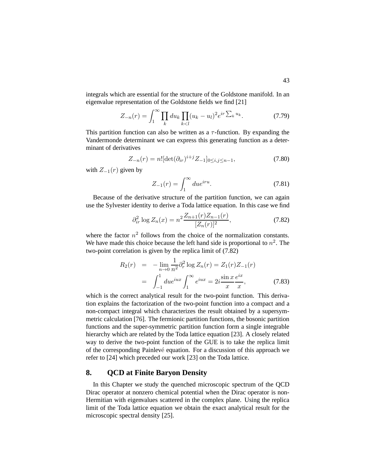integrals which are essential for the structure of the Goldstone manifold. In an eigenvalue representation of the Goldstone fields we find [21]

$$
Z_{-n}(r) = \int_1^{\infty} \prod_k du_k \prod_{k < l} (u_k - u_l)^2 e^{ir \sum_k u_k}.\tag{7.79}
$$

This partition function can also be written as a  $\tau$ -function. By expanding the Vandermonde determinant we can express this generating function as a determinant of derivatives

$$
Z_{-n}(r) = n! [\det(\partial_{ir})^{i+j} Z_{-1}]_{0 \le i,j \le n-1},
$$
\n(7.80)

with  $Z_{-1}(r)$  given by

$$
Z_{-1}(r) = \int_1^\infty du e^{iru}.\tag{7.81}
$$

Because of the derivative structure of the partition function, we can again use the Sylvester identity to derive a Toda lattice equation. In this case we find

$$
\partial_{ir}^2 \log Z_n(x) = n^2 \frac{Z_{n+1}(r)Z_{n-1}(r)}{[Z_n(r)]^2},\tag{7.82}
$$

where the factor  $n^2$  follows from the choice of the normalization constants. We have made this choice because the left hand side is proportional to  $n^2$ . The two-point correlation is given by the replica limit of (7.82)

$$
R_2(r) = -\lim_{n \to 0} \frac{1}{n^2} \partial_r^2 \log Z_n(r) = Z_1(r) Z_{-1}(r)
$$
  
= 
$$
\int_{-1}^1 du e^{iux} \int_1^\infty e^{iux} = 2i \frac{\sin x}{x} \frac{e^{ix}}{x},
$$
 (7.83)

which is the correct analytical result for the two-point function. This derivation explains the factorization of the two-point function into a compact and a non-compact integral which characterizes the result obtained by a supersymmetric calculation [76]. The fermionic partition functions, the bosonic partition functions and the super-symmetric partition function form a single integrable hierarchy which are related by the Toda lattice equation [23]. A closely related way to derive the two-point function of the GUE is to take the replica limit of the corresponding Painlevé equation. For a discussion of this approach we refer to [24] which preceded our work [23] on the Toda lattice.

### **8. QCD at Finite Baryon Density**

In this Chapter we study the quenched microscopic spectrum of the QCD Dirac operator at nonzero chemical potential when the Dirac operator is non-Hermitian with eigenvalues scattered in the complex plane. Using the replica limit of the Toda lattice equation we obtain the exact analytical result for the microscopic spectral density [25].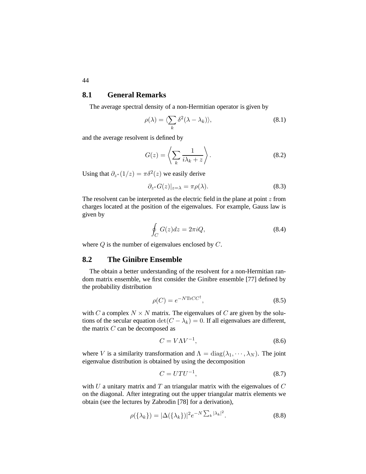### **8.1 General Remarks**

The average spectral density of a non-Hermitian operator is given by

$$
\rho(\lambda) = \langle \sum_{k} \delta^{2} (\lambda - \lambda_{k}) \rangle,
$$
\n(8.1)

and the average resolvent is defined by

$$
G(z) = \left\langle \sum_{k} \frac{1}{i\lambda_k + z} \right\rangle.
$$
 (8.2)

Using that  $\partial_{z^*}(1/z) = \pi \delta^2(z)$  we easily derive

$$
\partial_{z^*} G(z)|_{z=\lambda} = \pi \rho(\lambda). \tag{8.3}
$$

The resolvent can be interpreted as the electric field in the plane at point  $z$  from charges located at the position of the eigenvalues. For example, Gauss law is given by

$$
\oint_C G(z)dz = 2\pi i Q,\tag{8.4}
$$

where  $Q$  is the number of eigenvalues enclosed by  $C$ .

#### **8.2 The Ginibre Ensemble**

The obtain a better understanding of the resolvent for a non-Hermitian random matrix ensemble, we first consider the Ginibre ensemble [77] defined by the probability distribution

$$
\rho(C) = e^{-N \text{Tr} CC^{\dagger}},\tag{8.5}
$$

with C a complex  $N \times N$  matrix. The eigenvalues of C are given by the solutions of the secular equation det $(C - \lambda_k) = 0$ . If all eigenvalues are different, the matrix  $C$  can be decomposed as

$$
C = V\Lambda V^{-1},\tag{8.6}
$$

where V is a similarity transformation and  $\Lambda = \text{diag}(\lambda_1, \dots, \lambda_N)$ . The joint eigenvalue distribution is obtained by using the decomposition

$$
C = UTU^{-1},\tag{8.7}
$$

with  $U$  a unitary matrix and  $T$  an triangular matrix with the eigenvalues of  $C$ on the diagonal. After integrating out the upper triangular matrix elements we obtain (see the lectures by Zabrodin [78] for a derivation),

$$
\rho(\{\lambda_k\}) = |\Delta(\{\lambda_k\})|^2 e^{-N \sum_k |\lambda_k|^2}.\tag{8.8}
$$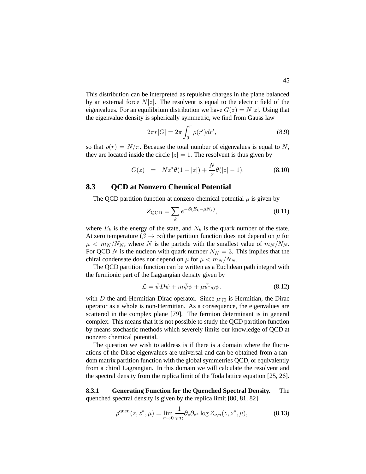This distribution can be interpreted as repulsive charges in the plane balanced by an external force  $N|z|$ . The resolvent is equal to the electric field of the eigenvalues. For an equilibrium distribution we have  $G(z) = N|z|$ . Using that the eigenvalue density is spherically symmetric, we find from Gauss law

$$
2\pi r|G| = 2\pi \int_0^r \rho(r')dr',\tag{8.9}
$$

so that  $\rho(r) = N/\pi$ . Because the total number of eigenvalues is equal to N, they are located inside the circle  $|z| = 1$ . The resolvent is thus given by

$$
G(z) = Nz^*\theta(1-|z|) + \frac{N}{z}\theta(|z|-1). \tag{8.10}
$$

### **8.3 QCD at Nonzero Chemical Potential**

The QCD partition function at nonzero chemical potential  $\mu$  is given by

$$
Z_{\rm QCD} = \sum_{k} e^{-\beta (E_k - \mu N_k)},\tag{8.11}
$$

where  $E_k$  is the energy of the state, and  $N_k$  is the quark number of the state. At zero temperature ( $\beta \to \infty$ ) the partition function does not depend on  $\mu$  for  $\mu < m_N/N_N$ , where N is the particle with the smallest value of  $m_N/N_N$ . For QCD N is the nucleon with quark number  $N_N = 3$ . This implies that the chiral condensate does not depend on  $\mu$  for  $\mu < m_N/N_N$ .

The QCD partition function can be written as a Euclidean path integral with the fermionic part of the Lagrangian density given by

$$
\mathcal{L} = \bar{\psi} D\psi + m\bar{\psi}\psi + \mu\bar{\psi}\gamma_0\psi.
$$
 (8.12)

with D the anti-Hermitian Dirac operator. Since  $\mu\gamma_0$  is Hermitian, the Dirac operator as a whole is non-Hermitian. As a consequence, the eigenvalues are scattered in the complex plane [79]. The fermion determinant is in general complex. This means that it is not possible to study the QCD partition function by means stochastic methods which severely limits our knowledge of QCD at nonzero chemical potential.

The question we wish to address is if there is a domain where the fluctuations of the Dirac eigenvalues are universal and can be obtained from a random matrix partition function with the global symmetries QCD, or equivalently from a chiral Lagrangian. In this domain we will calculate the resolvent and the spectral density from the replica limit of the Toda lattice equation [25, 26].

**8.3.1 Generating Function for the Quenched Spectral Density.** The quenched spectral density is given by the replica limit [80, 81, 82]

$$
\rho^{\text{quen}}(z, z^*, \mu) = \lim_{n \to 0} \frac{1}{\pi n} \partial_z \partial_{z^*} \log Z_{\nu, n}(z, z^*, \mu), \tag{8.13}
$$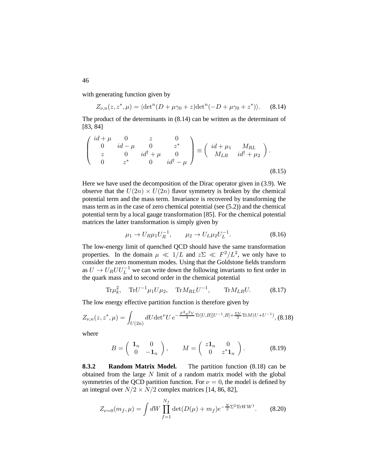with generating function given by

$$
Z_{\nu,n}(z, z^*, \mu) = \langle \det^n(D + \mu \gamma_0 + z) \det^n(-D + \mu \gamma_0 + z^*) \rangle.
$$
 (8.14)

The product of the determinants in (8.14) can be written as the determinant of [83, 84]

$$
\begin{pmatrix}\nid + \mu & 0 & z & 0 \\
0 & id - \mu & 0 & z^* \\
z & 0 & id^{\dagger} + \mu & 0 \\
0 & z^* & 0 & id^{\dagger} - \mu\n\end{pmatrix} \equiv \begin{pmatrix}\nd + \mu_1 & M_{RL} \\
M_{LR} & id^{\dagger} + \mu_2\n\end{pmatrix}.
$$
\n(8.15)

Here we have used the decomposition of the Dirac operator given in (3.9). We observe that the  $U(2n) \times U(2n)$  flavor symmetry is broken by the chemical potential term and the mass term. Invariance is recovered by transforming the mass term as in the case of zero chemical potential (see (5.2)) and the chemical potential term by a local gauge transformation [85]. For the chemical potential matrices the latter transformation is simply given by

$$
\mu_1 \to U_R \mu_1 U_R^{-1}, \qquad \mu_2 \to U_L \mu_2 U_L^{-1}.
$$
 (8.16)

The low-energy limit of quenched QCD should have the same transformation properties. In the domain  $\mu \ll 1/L$  and  $z\Sigma \ll F^2/L^2$ , we only have to consider the zero momentum modes. Using that the Goldstone fields transform as  $U \to U_R U U_L^{-1}$  we can write down the following invariants to first order in the quark mass and to second order in the chemical potential

 $\text{Tr}\mu_k^2$ ,  $\text{Tr}U^{-1}\mu_1 U \mu_2$ ,  $\text{Tr}M_{RL}U^{-1}$ ,  $\text{Tr}M_{LR}U$ . (8.17)

The low energy effective partition function is therefore given by

$$
Z_{\nu,n}(z,z^*,\mu) = \int_{U(2n)} dU \det^{\nu} U \, e^{-\frac{F^2 \mu^2 V}{4} \text{Tr}[U,B][U^{-1},B] + \frac{\Sigma V}{2} \text{Tr}M(U+U^{-1})},
$$
(8.18)

where

$$
B = \begin{pmatrix} \mathbf{1}_n & 0 \\ 0 & -\mathbf{1}_n \end{pmatrix}, \qquad M = \begin{pmatrix} z\mathbf{1}_n & 0 \\ 0 & z^* \mathbf{1}_n \end{pmatrix}. \tag{8.19}
$$

**8.3.2 Random Matrix Model.** The partition function (8.18) can be obtained from the large  $N$  limit of a random matrix model with the global symmetries of the QCD partition function. For  $\nu = 0$ , the model is defined by an integral over  $N/2 \times N/2$  complex matrices [14, 86, 82],

$$
Z_{\nu=0}(m_f, \mu) = \int dW \prod_{f=1}^{N_f} \det(D(\mu) + m_f) e^{-\frac{N}{2} \Sigma^2 \text{Tr} W W^{\dagger}}.
$$
 (8.20)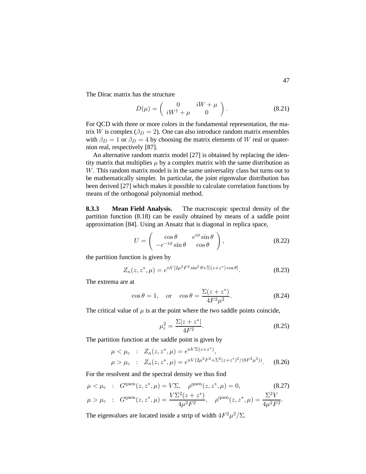The Dirac matrix has the structure

$$
D(\mu) = \begin{pmatrix} 0 & iW + \mu \\ iW^{\dagger} + \mu & 0 \end{pmatrix}.
$$
 (8.21)

For QCD with three or more colors in the fundamental representation, the matrix W is complex ( $\beta_D = 2$ ). One can also introduce random matrix ensembles with  $\beta_D = 1$  or  $\beta_D = 4$  by choosing the matrix elements of W real or quaternion real, respectively [87].

An alternative random matrix model [27] is obtained by replacing the identity matrix that multiplies  $\mu$  by a complex matrix with the same distribution as W. This random matrix model is in the same universality class but turns out to be mathematically simpler. In particular, the joint eigenvalue distribution has been derived [27] which makes it possible to calculate correlation functions by means of the orthogonal polynomial method.

**8.3.3 Mean Field Analysis.** The macroscopic spectral density of the partition function (8.18) can be easily obtained by means of a saddle point approximation [84]. Using an Ansatz that is diagonal in replica space,

$$
U = \begin{pmatrix} \cos \theta & e^{i\phi} \sin \theta \\ -e^{-i\phi} \sin \theta & \cos \theta \end{pmatrix},
$$
 (8.22)

the partition function is given by

$$
Z_n(z, z^*, \mu) = e^{nV[2\mu^2 F^2 \sin^2 \theta + \Sigma(z + z^*) \cos \theta]}.
$$
 (8.23)

The extrema are at

$$
\cos \theta = 1
$$
, or  $\cos \theta = \frac{\Sigma (z + z^*)}{4F^2 \mu^2}$ . (8.24)

The critical value of  $\mu$  is at the point where the two saddle points coincide,

$$
\mu_c^2 = \frac{\Sigma |z + z^*|}{4F^2}.\tag{8.25}
$$

The partition function at the saddle point is given by

$$
\mu < \mu_c \quad : \quad Z_n(z, z^*, \mu) = e^{nV\Sigma(z + z^*)},
$$
\n
$$
\mu > \mu_c \quad : \quad Z_n(z, z^*, \mu) = e^{nV(2\mu^2 F^2 + \Sigma^2(z + z^*)^2/(8F^2\mu^2))}. \tag{8.26}
$$

For the resolvent and the spectral density we thus find

$$
\mu < \mu_c \quad : \quad G^{\text{quen}}(z, z^*, \mu) = V\Sigma, \quad \rho^{\text{quen}}(z, z^*, \mu) = 0,\tag{8.27}
$$
\n
$$
\mu > \mu_c \quad : \quad G^{\text{quen}}(z, z^*, \mu) = \frac{V\Sigma^2(z + z^*)}{4\mu^2 F^2}, \quad \rho^{\text{quen}}(z, z^*, \mu) = \frac{\Sigma^2 V}{4\mu^2 F^2}.
$$

The eigenvalues are located inside a strip of width  $4F^2\mu^2/\Sigma$ .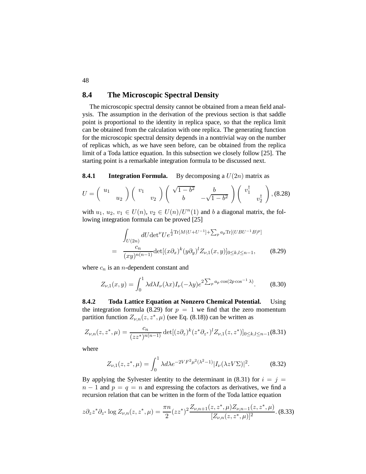### **8.4 The Microscopic Spectral Density**

The microscopic spectral density cannot be obtained from a mean field analysis. The assumption in the derivation of the previous section is that saddle point is proportional to the identity in replica space, so that the replica limit can be obtained from the calculation with one replica. The generating function for the microscopic spectral density depends in a nontrivial way on the number of replicas which, as we have seen before, can be obtained from the replica limit of a Toda lattice equation. In this subsection we closely follow [25]. The starting point is a remarkable integration formula to be discussed next.

**8.4.1** Integration Formula. By decomposing a  $U(2n)$  matrix as

$$
U = \begin{pmatrix} u_1 \\ u_2 \end{pmatrix} \begin{pmatrix} v_1 \\ v_2 \end{pmatrix} \begin{pmatrix} \sqrt{1-b^2} & b \\ b & -\sqrt{1-b^2} \end{pmatrix} \begin{pmatrix} v_1^{\dagger} \\ v_2^{\dagger} \end{pmatrix}, (8.28)
$$

with  $u_1, u_2, v_1 \in U(n)$ ,  $v_2 \in U(n)/U^n(1)$  and b a diagonal matrix, the following integration formula can be proved [25]

$$
\int_{U(2n)} dU \det^{\nu} U e^{\frac{1}{2} \text{Tr}[M(U+U^{-1}]+\sum_{p} a_{p} \text{Tr}[(UBU^{-1}B)^{p}]} \n= \frac{c_{n}}{(xy)^{n(n-1)}} \det[(x \partial_{x})^{k} (y \partial_{y})^{l} Z_{\nu,1}(x, y)]_{0 \leq k,l \leq n-1},
$$
\n(8.29)

where  $c_n$  is an *n*-dependent constant and

$$
Z_{\nu,1}(x,y) = \int_0^1 \lambda d\lambda I_\nu(\lambda x) I_\nu(-\lambda y) e^{2 \sum_p a_p \cos(2p \cos^{-1} \lambda)}.
$$
 (8.30)

**8.4.2 Toda Lattice Equation at Nonzero Chemical Potential.** Using the integration formula (8.29) for  $p = 1$  we find that the zero momentum partition function  $Z_{\nu,n}(z,z^*,\mu)$  (see Eq. (8.18)) can be written as

$$
Z_{\nu,n}(z,z^*,\mu) = \frac{c_n}{(zz^*)^{n(n-1)}} \det[(z\partial_z)^k (z^*\partial_{z^*})^l Z_{\nu,1}(z,z^*)]_{0 \le k,l \le n-1} (8.31)
$$

where

$$
Z_{\nu,1}(z,z^*,\mu) = \int_0^1 \lambda d\lambda e^{-2VF^2\mu^2(\lambda^2 - 1)} |I_{\nu}(\lambda z V \Sigma)|^2.
$$
 (8.32)

By applying the Sylvester identity to the determinant in (8.31) for  $i = j =$  $n - 1$  and  $p = q = n$  and expressing the cofactors as derivatives, we find a recursion relation that can be written in the form of the Toda lattice equation

$$
z\partial_z z^* \partial_{z^*} \log Z_{\nu,n}(z, z^*, \mu) = \frac{\pi n}{2} (zz^*)^2 \frac{Z_{\nu,n+1}(z, z^*, \mu) Z_{\nu,n-1}(z, z^*, \mu)}{[Z_{\nu,n}(z, z^*, \mu)]^2}.
$$
(8.33)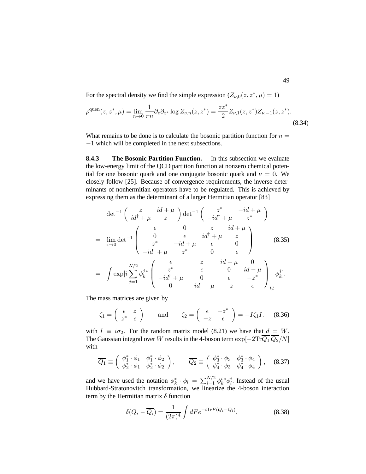For the spectral density we find the simple expression  $(Z_{\nu,0}(z,z^*,\mu)=1)$ 

$$
\rho^{\text{quen}}(z, z^*, \mu) = \lim_{n \to 0} \frac{1}{\pi n} \partial_z \partial_{z^*} \log Z_{\nu, n}(z, z^*) = \frac{z z^*}{2} Z_{\nu, 1}(z, z^*) Z_{\nu, -1}(z, z^*).
$$
\n(8.34)

What remains to be done is to calculate the bosonic partition function for  $n =$ −1 which will be completed in the next subsections.

**8.4.3 The Bosonic Partition Function.** In this subsection we evaluate the low-energy limit of the QCD partition function at nonzero chemical potential for one bosonic quark and one conjugate bosonic quark and  $\nu = 0$ . We closely follow [25]. Because of convergence requirements, the inverse determinants of nonhermitian operators have to be regulated. This is achieved by expressing them as the determinant of a larger Hermitian operator [83]

$$
\det^{-1}\begin{pmatrix} z & id+\mu \\ id^{\dagger}+\mu & z \end{pmatrix} \det^{-1}\begin{pmatrix} z^* & -id+\mu \\ -id^{\dagger}+\mu & z^* \end{pmatrix}
$$
  
=  $\lim_{\epsilon \to 0} \det^{-1}\begin{pmatrix} \epsilon & 0 & z & id+\mu \\ 0 & \epsilon & id^{\dagger}+\mu & z \\ z^* & -id+\mu & \epsilon & 0 \\ -id^{\dagger}+\mu & z^* & 0 & \epsilon \end{pmatrix}$  (8.35)  
=  $\int \exp[i\sum_{j=1}^{N/2} \phi_k^{j*}\begin{pmatrix} \epsilon & z & id+\mu & 0 \\ z^* & \epsilon & 0 & id-\mu \\ -id^{\dagger}+\mu & 0 & \epsilon & -z^* \\ 0 & -id^{\dagger}-\mu & -z & \epsilon \end{pmatrix}_{kl}$ 

The mass matrices are given by

$$
\zeta_1 = \begin{pmatrix} \epsilon & z \\ z^* & \epsilon \end{pmatrix} \quad \text{and} \quad \zeta_2 = \begin{pmatrix} \epsilon & -z^* \\ -z & \epsilon \end{pmatrix} = -I\zeta_1I. \quad (8.36)
$$

with  $I \equiv i\sigma_2$ . For the random matrix model (8.21) we have that  $d = W$ . The Gaussian integral over W results in the 4-boson term  $\exp[-2 \text{Tr} \overline{Q_1} \overline{Q_2}/N]$ with

$$
\overline{Q_1} \equiv \begin{pmatrix} \phi_1^* \cdot \phi_1 & \phi_1^* \cdot \phi_2 \\ \phi_2^* \cdot \phi_1 & \phi_2^* \cdot \phi_2 \end{pmatrix}, \qquad \overline{Q_2} \equiv \begin{pmatrix} \phi_3^* \cdot \phi_3 & \phi_3^* \cdot \phi_4 \\ \phi_4^* \cdot \phi_3 & \phi_4^* \cdot \phi_4 \end{pmatrix}, \quad (8.37)
$$

and we have used the notation  $\phi_k^* \cdot \phi_l = \sum_{i=1}^{N/2} \phi_k^{i*} \phi_l^i$ . Instead of the usual Hubbard-Stratonovitch transformation, we linearize the 4-boson interaction term by the Hermitian matrix  $\delta$  function

$$
\delta(Q_i - \overline{Q_i}) = \frac{1}{(2\pi)^4} \int dF e^{-i \text{Tr} F(Q_i - \overline{Q_i})},\tag{8.38}
$$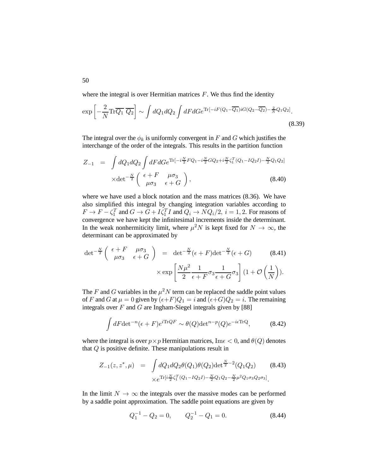where the integral is over Hermitian matrices  $F$ . We thus find the identity

$$
\exp\left[-\frac{2}{N}\text{Tr}\overline{Q_1}\ \overline{Q_2}\right] \sim \int dQ_1 dQ_2 \int dF dG e^{\text{Tr}\left[-iF(Q_1-\overline{Q_1})iG(Q_2-\overline{Q_2})-\frac{2}{N}Q_1Q_2\right]}\tag{8.39}
$$

The integral over the  $\phi_k$  is uniformly convergent in F and G which justifies the interchange of the order of the integrals. This results in the partition function

$$
Z_{-1} = \int dQ_1 dQ_2 \int dF dG e^{\text{Tr}\left[-i\frac{N}{2}FQ_1 - i\frac{N}{2}GQ_2 + i\frac{N}{2}\zeta_1^T(Q_1 - IQ_2I) - \frac{N}{2}Q_1Q_2\right]} \times \det^{-\frac{N}{2}} \begin{pmatrix} \epsilon + F & \mu\sigma_3 \\ \mu\sigma_3 & \epsilon + G \end{pmatrix},
$$
\n(8.40)

where we have used a block notation and the mass matrices (8.36). We have also simplified this integral by changing integration variables according to  $F \to F - \zeta_1^T$  and  $G \to G + I \zeta_1^T I$  and  $Q_i \to N Q_i/2$ ,  $i = 1, 2$ . For reasons of convergence we have kept the infinitesimal increments inside the determinant. In the weak nonhermiticity limit, where  $\mu^2 N$  is kept fixed for  $N \to \infty$ , the determinant can be approximated by

$$
\det^{-\frac{N}{2}} \begin{pmatrix} \epsilon + F & \mu \sigma_3 \\ \mu \sigma_3 & \epsilon + G \end{pmatrix} = \det^{-\frac{N}{2}} (\epsilon + F) \det^{-\frac{N}{2}} (\epsilon + G) \qquad (8.41)
$$

$$
\times \exp \left[ \frac{N\mu^2}{2} \frac{1}{\epsilon + F} \sigma_3 \frac{1}{\epsilon + G} \sigma_3 \right] (1 + \mathcal{O} \left( \frac{1}{N} \right)).
$$

The F and G variables in the  $\mu^2 N$  term can be replaced the saddle point values of F and G at  $\mu = 0$  given by  $(\epsilon + F)Q_1 = i$  and  $(\epsilon + G)Q_2 = i$ . The remaining integrals over  $F$  and  $G$  are Ingham-Siegel integrals given by [88]

$$
\int dF \det^{-n} (\epsilon + F) e^{i \text{Tr} QF} \sim \theta(Q) \det^{n-p}(Q) e^{-i\epsilon \text{Tr} Q}, \tag{8.42}
$$

where the integral is over  $p \times p$  Hermitian matrices, Im $\epsilon < 0$ , and  $\theta(Q)$  denotes that Q is positive definite. These manipulations result in

$$
Z_{-1}(z, z^*, \mu) = \int dQ_1 dQ_2 \theta(Q_1) \theta(Q_2) \det^{\frac{N}{2}-2}(Q_1 Q_2)
$$
(8.43)  
 
$$
\times e^{\text{Tr}[i\frac{N}{2}\zeta_1^T(Q_1 - IQ_2 I) - \frac{N}{2}Q_1 Q_2 - \frac{N}{2}\mu^2 Q_1 \sigma_3 Q_2 \sigma_3]}
$$

In the limit  $N \to \infty$  the integrals over the massive modes can be performed by a saddle point approximation. The saddle point equations are given by

$$
Q_1^{-1} - Q_2 = 0, \qquad Q_2^{-1} - Q_1 = 0. \tag{8.44}
$$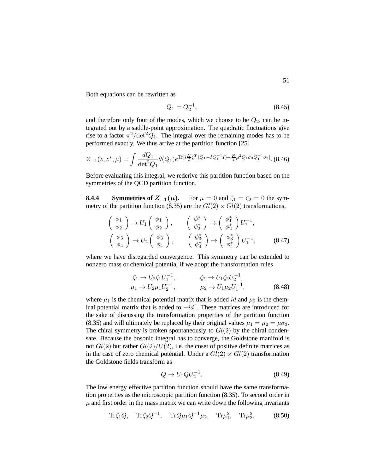Both equations can be rewritten as

$$
Q_1 = Q_2^{-1}, \t\t(8.45)
$$

and therefore only four of the modes, which we choose to be  $Q_2$ , can be integrated out by a saddle-point approximation. The quadratic fluctuations give rise to a factor  $\pi^2/\text{det}^2 \tilde{Q}_1$ . The integral over the remaining modes has to be performed exactly. We thus arrive at the partition function [25]

$$
Z_{-1}(z, z^*, \mu) = \int \frac{dQ_1}{\det^2 Q_1} \theta(Q_1) e^{\text{Tr}[i\frac{N}{2}\zeta_1^T (Q_1 - IQ_1^{-1}I) - \frac{N}{2}\mu^2 Q_1 \sigma_3 Q_1^{-1} \sigma_3]}.
$$
(8.46)

Before evaluating this integral, we rederive this partition function based on the symmetries of the QCD partition function.

**8.4.4** Symmetries of  $Z_{-1}(\mu)$ . For  $\mu = 0$  and  $\zeta_1 = \zeta_2 = 0$  the symmetry of the partition function (8.35) are the  $Gl(2) \times Gl(2)$  transformations,

$$
\begin{pmatrix}\n\phi_1 \\
\phi_2\n\end{pmatrix} \rightarrow U_1 \begin{pmatrix}\n\phi_1 \\
\phi_2\n\end{pmatrix}, \qquad \begin{pmatrix}\n\phi_1^* \\
\phi_2^*\n\end{pmatrix} \rightarrow \begin{pmatrix}\n\phi_1^* \\
\phi_2^*\n\end{pmatrix} U_2^{-1},
$$
\n
$$
\begin{pmatrix}\n\phi_3 \\
\phi_4\n\end{pmatrix} \rightarrow U_2 \begin{pmatrix}\n\phi_3 \\
\phi_4\n\end{pmatrix}, \qquad \begin{pmatrix}\n\phi_3^* \\
\phi_4^*\n\end{pmatrix} \rightarrow \begin{pmatrix}\n\phi_3^* \\
\phi_4^*\n\end{pmatrix} U_1^{-1}, \qquad (8.47)
$$

where we have disregarded convergence. This symmetry can be extended to nonzero mass or chemical potential if we adopt the transformation rules

$$
\zeta_1 \to U_2 \zeta_1 U_1^{-1}, \qquad \zeta_2 \to U_1 \zeta_2 U_2^{-1}, \n\mu_1 \to U_2 \mu_1 U_2^{-1}, \qquad \mu_2 \to U_1 \mu_2 U_1^{-1}, \qquad (8.48)
$$

where  $\mu_1$  is the chemical potential matrix that is added *id* and  $\mu_2$  is the chemical potential matrix that is added to  $-i d^{\dagger}$ . These matrices are introduced for the sake of discussing the transformation properties of the partition function (8.35) and will ultimately be replaced by their original values  $\mu_1 = \mu_2 = \mu \sigma_3$ . The chiral symmetry is broken spontaneously to  $Gl(2)$  by the chiral condensate. Because the bosonic integral has to converge, the Goldstone manifold is not  $Gl(2)$  but rather  $Gl(2)/U(2)$ , i.e. the coset of positive definite matrices as in the case of zero chemical potential. Under a  $Gl(2) \times Gl(2)$  transformation the Goldstone fields transform as

$$
Q \to U_1 Q U_2^{-1}.
$$
\n(8.49)

The low energy effective partition function should have the same transformation properties as the microscopic partition function (8.35). To second order in  $\mu$  and first order in the mass matrix we can write down the following invariants

$$
\text{Tr}\zeta_1 Q, \quad \text{Tr}\zeta_2 Q^{-1}, \quad \text{Tr}Q\mu_1 Q^{-1}\mu_2, \quad \text{Tr}\mu_1^2, \quad \text{Tr}\mu_2^2. \tag{8.50}
$$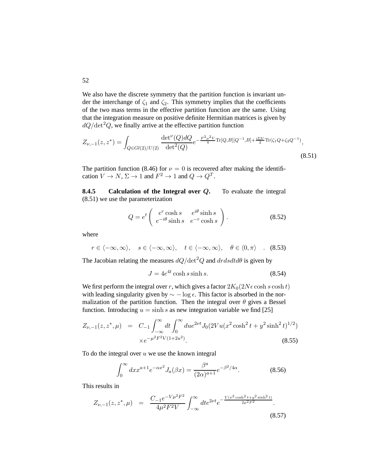We also have the discrete symmetry that the partition function is invariant under the interchange of  $\zeta_1$  and  $\zeta_2$ . This symmetry implies that the coefficients of the two mass terms in the effective partition function are the same. Using that the integration measure on positive definite Hermitian matrices is given by  $dQ/\text{det}^2Q$ , we finally arrive at the effective partition function

$$
Z_{\nu,-1}(z,z^*) = \int_{Q \in Gl(2)/U(2)} \frac{\det^{\nu}(Q) dQ}{\det^2(Q)} e^{-\frac{F^2 \mu^2 V}{4} \text{Tr}[Q,B][Q^{-1},B] + \frac{i\Sigma V}{2} \text{Tr}(\zeta_1 Q + \zeta_2 Q^{-1})},\tag{8.51}
$$

The partition function (8.46) for  $\nu = 0$  is recovered after making the identification  $V \to N$ ,  $\Sigma \to 1$  and  $F^2 \to 1$  and  $Q \to Q^T$ .

**8.4.5 Calculation of the Integral over** Q**.** To evaluate the integral (8.51) we use the parameterization

$$
Q = e^t \begin{pmatrix} e^r \cosh s & e^{i\theta} \sinh s \\ e^{-i\theta} \sinh s & e^{-r} \cosh s \end{pmatrix}.
$$
 (8.52)

where

$$
r \in \langle -\infty, \infty \rangle, \quad s \in \langle -\infty, \infty \rangle, \quad t \in \langle -\infty, \infty \rangle, \quad \theta \in \langle 0, \pi \rangle \quad . \tag{8.53}
$$

The Jacobian relating the measures  $dQ/\text{det}^2Q$  and  $drdsdt d\theta$  is given by

$$
J = 4e^{4t} \cosh s \sinh s. \tag{8.54}
$$

We first perform the integral over r, which gives a factor  $2K_0(2N\epsilon \cosh s \cosh t)$ with leading singularity given by  $\sim -\log \epsilon$ . This factor is absorbed in the normalization of the partition function. Then the integral over  $\theta$  gives a Bessel function. Introducing  $u = \sinh s$  as new integration variable we find [25]

$$
Z_{\nu,-1}(z,z^*,\mu) = C_{-1} \int_{-\infty}^{\infty} dt \int_0^{\infty} du e^{2\nu t} J_0(2Vu(x^2 \cosh^2 t + y^2 \sinh^2 t)^{1/2})
$$
  
 
$$
\times e^{-\mu^2 F^2 V(1+2u^2)}.
$$
 (8.55)

To do the integral over  $u$  we use the known integral

$$
\int_0^\infty dx x^{a+1} e^{-\alpha x^2} J_a(\beta x) = \frac{\beta^a}{(2\alpha)^{a+1}} e^{-\beta^2/4\alpha}.
$$
 (8.56)

This results in

$$
Z_{\nu,-1}(z,z^*,\mu) = \frac{C_{-1}e^{-V\mu^2F^2}}{4\mu^2F^2V} \int_{-\infty}^{\infty} dt e^{2\nu t} e^{-\frac{V(x^2\cosh^2 t + y^2\sinh^2 t)}{2\mu^2F^2}}.
$$
\n(8.57)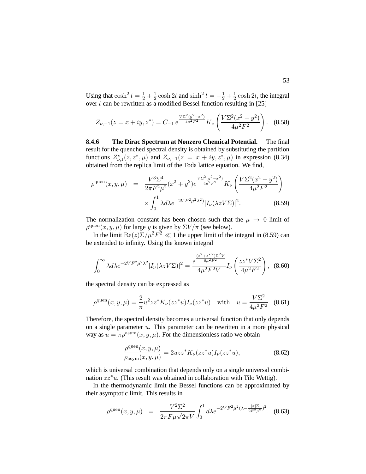Using that  $\cosh^2 t = \frac{1}{2} + \frac{1}{2}$  $\frac{1}{2} \cosh 2t$  and  $\sinh^2 t = -\frac{1}{2} + \frac{1}{2}$  $\frac{1}{2}$  cosh 2t, the integral over  $t$  can be rewritten as a modified Bessel function resulting in [25]

$$
Z_{\nu,-1}(z=x+iy,z^*) = C_{-1} e^{\frac{V\Sigma^2(y^2-x^2)}{4\mu^2 F^2}} K_{\nu} \left(\frac{V\Sigma^2(x^2+y^2)}{4\mu^2 F^2}\right).
$$
 (8.58)

**8.4.6 The Dirac Spectrum at Nonzero Chemical Potential.** The final result for the quenched spectral density is obtained by substituting the partition functions  $Z_{\nu,1}^{\nu}(z, z^*, \mu)$  and  $Z_{\nu,-1}(z = x + iy, z^*, \mu)$  in expression (8.34) obtained from the replica limit of the Toda lattice equation. We find,

$$
\rho^{\text{quen}}(x, y, \mu) = \frac{V^3 \Sigma^4}{2\pi F^2 \mu^2} (x^2 + y^2) e^{\frac{V \Sigma^2 (y^2 - x^2)}{4\mu^2 F^2}} K_{\nu} \left( \frac{V \Sigma^2 (x^2 + y^2)}{4\mu^2 F^2} \right) \times \int_0^1 \lambda d\lambda e^{-2V F^2 \mu^2 \lambda^2} |I_{\nu}(\lambda z V \Sigma)|^2.
$$
\n(8.59)

The normalization constant has been chosen such that the  $\mu \rightarrow 0$  limit of  $\rho^{\text{quen}}(x, y, \mu)$  for large y is given by  $\Sigma V/\pi$  (see below).

In the limit  $\text{Re}(z)\Sigma/\mu^2F^2 \ll 1$  the upper limit of the integral in (8.59) can be extended to infinity. Using the known integral

$$
\int_0^\infty \lambda d\lambda e^{-2VF^2\mu^2\lambda^2} |I_\nu(\lambda zV\Sigma)|^2 = \frac{e^{\frac{(z^2+z^*)\Sigma^2 V}{8\mu^2 F^2}}}{4\mu^2 F^2 V} I_\nu \left(\frac{z z^* V \Sigma^2}{4\mu^2 F^2}\right), \tag{8.60}
$$

the spectral density can be expressed as

$$
\rho^{\text{quen}}(x, y, \mu) = \frac{2}{\pi} u^2 z z^* K_\nu (z z^* u) I_\nu (z z^* u) \quad \text{with} \quad u = \frac{V \Sigma^2}{4\mu^2 F^2}.
$$
 (8.61)

Therefore, the spectral density becomes a universal function that only depends on a single parameter  $u$ . This parameter can be rewritten in a more physical way as  $u = \pi \rho^{\text{asym}}(x, y, \mu)$ . For the dimensionless ratio we obtain

$$
\frac{\rho^{\text{quen}}(x, y, \mu)}{\rho_{\text{asym}}(x, y, \mu)} = 2uzz^* K_\nu(zz^*u) I_\nu(zz^*u),\tag{8.62}
$$

which is universal combination that depends only on a single universal combination  $zz^*u$ . (This result was obtained in collaboration with Tilo Wettig).

In the thermodynamic limit the Bessel functions can be approximated by their asymptotic limit. This results in

$$
\rho^{\text{quen}}(x, y, \mu) = \frac{V^2 \Sigma^2}{2\pi F \mu \sqrt{2\pi V}} \int_0^1 d\lambda e^{-2VF^2 \mu^2 (\lambda - \frac{|x| \Sigma}{2F^2 \mu^2})^2} .
$$
 (8.63)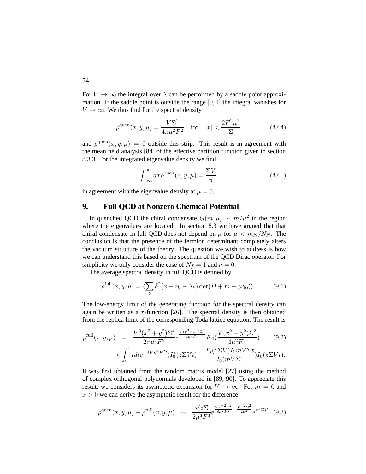For  $V \to \infty$  the integral over  $\lambda$  can be performed by a saddle point approximation. If the saddle point is outside the range  $[0, 1]$  the integral vanishes for  $V \rightarrow \infty$ . We thus find for the spectral density

$$
\rho^{\text{quen}}(x, y, \mu) = \frac{V\Sigma^2}{4\pi\mu^2 F^2} \quad \text{for} \quad |x| < \frac{2F^2\mu^2}{\Sigma} \tag{8.64}
$$

and  $\rho^{\text{quen}}(x, y, \mu) = 0$  outside this strip. This result is in agreement with the mean field analysis [84] of the effective partition function given in section 8.3.3. For the integrated eigenvalue density we find

$$
\int_{-\infty}^{\infty} dx \rho^{\text{quen}}(x, y, \mu) = \frac{\Sigma V}{\pi}
$$
\n(8.65)

in agreement with the eigenvalue density at  $\mu = 0$ .

### **9. Full QCD at Nonzero Chemical Potential**

In quenched QCD the chiral condensate  $G(m, \mu) \sim m/\mu^2$  in the region where the eigenvalues are located. In section 8.3 we have argued that that chiral condensate in full QCD does not depend on  $\mu$  for  $\mu < m_N/N_N$ . The conclusion is that the presence of the fermion determinant completely alters the vacuum structure of the theory. The question we wish to address is how we can understand this based on the spectrum of the QCD Dirac operator. For simplicity we only consider the case of  $N_f = 1$  and  $\nu = 0$ .

The average spectral density in full QCD is defined by

$$
\rho^{\text{full}}(x, y, \mu) = \langle \sum_{k} \delta^{2}(x + iy - \lambda_{k}) \det(D + m + \mu \gamma_{0}) \rangle.
$$
 (9.1)

The low-energy limit of the generating function for the spectral density can again be written as a  $\tau$ -function [26]. The spectral density is then obtained from the replica limit of the corresponding Toda lattice equation. The result is

$$
\rho^{\text{full}}(x, y, \mu) = \frac{V^3(x^2 + y^2)\Sigma^4}{2\pi\mu^2 F^2} e^{\frac{V(y^2 - x^2)\Sigma^2}{4\mu^2 F^2}} K_0(\frac{V(x^2 + y^2)\Sigma^2}{4\mu^2 F^2}) \qquad (9.2)
$$

$$
\times \int_0^1 t dt e^{-2V\mu^2 F^2 t} (I_0^*(z\Sigma Vt) - \frac{I_0^*(z\Sigma V)I_0 mV\Sigma t}{I_0(mV\Sigma)}) I_0(z\Sigma Vt).
$$

It was first obtained from the random matrix model [27] using the method of complex orthogonal polynomials developed in [89, 90]. To appreciate this result, we considers its asymptotic expansion for  $V \to \infty$ . For  $m = 0$  and  $x > 0$  we can derive the asymptotic result for the difference

$$
\rho^{\text{quen}}(x, y, \mu) - \rho^{\text{full}}(x, y, \mu) \sim \frac{\sqrt{z\sum} \, e^{\frac{Vz^* \, 2\sum^2}{8\mu^2 F^2} - \frac{Vx^2 \Sigma^2}{2\mu^2}} e^{z^* \Sigma V} . \tag{9.3}
$$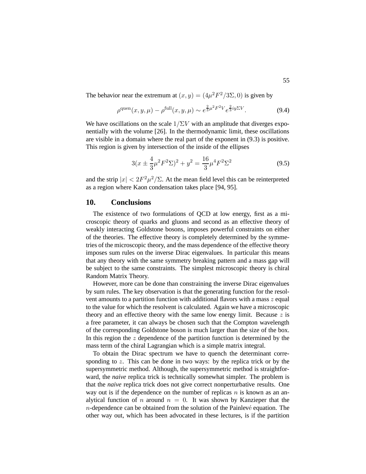The behavior near the extremum at  $(x, y) = (4\mu^2 F^2/3\Sigma, 0)$  is given by

$$
\rho^{\text{quen}}(x, y, \mu) - \rho^{\text{full}}(x, y, \mu) \sim e^{\frac{2}{3}\mu^2 F^2 V} e^{\frac{2}{3}iy \Sigma V}.
$$
 (9.4)

We have oscillations on the scale  $1/\Sigma V$  with an amplitude that diverges exponentially with the volume [26]. In the thermodynamic limit, these oscillations are visible in a domain where the real part of the exponent in (9.3) is positive. This region is given by intersection of the inside of the ellipses

$$
3(x \pm \frac{4}{3}\mu^2 F^2 \Sigma)^2 + y^2 = \frac{16}{3}\mu^4 F^2 \Sigma^2
$$
 (9.5)

and the strip  $|x| < 2F^2\mu^2/\Sigma$ . At the mean field level this can be reinterpreted as a region where Kaon condensation takes place [94, 95].

#### **10. Conclusions**

The existence of two formulations of QCD at low energy, first as a microscopic theory of quarks and gluons and second as an effective theory of weakly interacting Goldstone bosons, imposes powerful constraints on either of the theories. The effective theory is completely determined by the symmetries of the microscopic theory, and the mass dependence of the effective theory imposes sum rules on the inverse Dirac eigenvalues. In particular this means that any theory with the same symmetry breaking pattern and a mass gap will be subject to the same constraints. The simplest microscopic theory is chiral Random Matrix Theory.

However, more can be done than constraining the inverse Dirac eigenvalues by sum rules. The key observation is that the generating function for the resolvent amounts to a partition function with additional flavors with a mass  $z$  equal to the value for which the resolvent is calculated. Again we have a microscopic theory and an effective theory with the same low energy limit. Because  $z$  is a free parameter, it can always be chosen such that the Compton wavelength of the corresponding Goldstone boson is much larger than the size of the box. In this region the  $z$  dependence of the partition function is determined by the mass term of the chiral Lagrangian which is a simple matrix integral.

To obtain the Dirac spectrum we have to quench the determinant corresponding to z. This can be done in two ways: by the replica trick or by the supersymmetric method. Although, the supersymmetric method is straightforward, the *naive* replica trick is technically somewhat simpler. The problem is that the *naive* replica trick does not give correct nonperturbative results. One way out is if the dependence on the number of replicas  $n$  is known as an analytical function of n around  $n = 0$ . It was shown by Kanzieper that the  $n$ -dependence can be obtained from the solution of the Painlevé equation. The other way out, which has been advocated in these lectures, is if the partition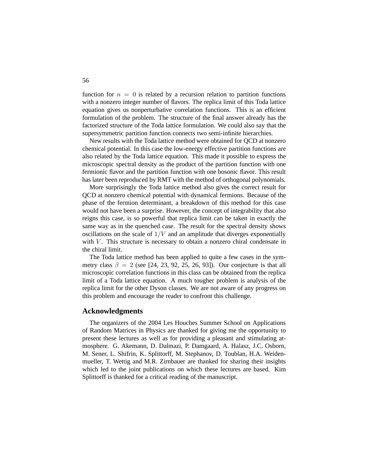function for  $n = 0$  is related by a recursion relation to partition functions with a nonzero integer number of flavors. The replica limit of this Toda lattice equation gives us nonperturbative correlation functions. This is an efficient formulation of the problem. The structure of the final answer already has the factorized structure of the Toda lattice formulation. We could also say that the supersymmetric partition function connects two semi-infinite hierarchies.

New results with the Toda lattice method were obtained for QCD at nonzero chemical potential. In this case the low-energy effective partition functions are also related by the Toda lattice equation. This made it possible to express the microscopic spectral density as the product of the partition function with one fermionic flavor and the partition function with one bosonic flavor. This result has later been reproduced by RMT with the method of orthogonal polynomials.

More surprisingly the Toda lattice method also gives the correct result for QCD at nonzero chemical potential with dynamical fermions. Because of the phase of the fermion determinant, a breakdown of this method for this case would not have been a surprise. However, the concept of integrability that also reigns this case, is so powerful that replica limit can be taken in exactly the same way as in the quenched case. The result for the spectral density shows oscillations on the scale of  $1/V$  and an amplitude that diverges exponentially with  $V$ . This structure is necessary to obtain a nonzero chiral condensate in the chiral limit.

The Toda lattice method has been applied to quite a few cases in the symmetry class  $\beta = 2$  (see [24, 23, 92, 25, 26, 93]). Our conjecture is that all microscopic correlation functions in this class can be obtained from the replica limit of a Toda lattice equation. A much tougher problem is analysis of the replica limit for the other Dyson classes. We are not aware of any progress on this problem and encourage the reader to confront this challenge.

#### **Acknowledgments**

The organizers of the 2004 Les Houches Summer School on Applications of Random Matrices in Physics are thanked for giving me the opportunity to present these lectures as well as for providing a pleasant and stimulating atmosphere. G. Akemann, D. Dalmazi, P. Damgaard, A. Halasz, J.C. Osborn, M. Sener, L. Shifrin, K. Splittorff, M. Stephanov, D. Toublan, H.A. Weidenmueller, T. Wettig and M.R. Zirnbauer are thanked for sharing their insights which led to the joint publications on which these lectures are based. Kim Splittorff is thanked for a critical reading of the manuscript.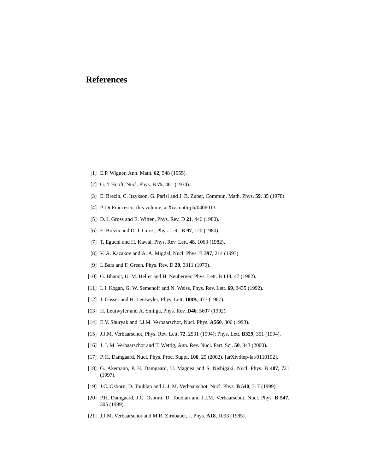# **References**

- [1] E.P. Wigner, Ann. Math. **62**, 548 (1955).
- [2] G. 't Hooft, Nucl. Phys. B **75**, 461 (1974).
- [3] E. Brezin, C. Itzykson, G. Parisi and J. B. Zuber, Commun. Math. Phys. **59**, 35 (1978).
- [4] P. Di Francesco, this volume, arXiv:math-ph/0406013.
- [5] D. J. Gross and E. Witten, Phys. Rev. D **21**, 446 (1980).
- [6] E. Brezin and D. J. Gross, Phys. Lett. B **97**, 120 (1980).
- [7] T. Eguchi and H. Kawai, Phys. Rev. Lett. **48**, 1063 (1982).
- [8] V. A. Kazakov and A. A. Migdal, Nucl. Phys. B **397**, 214 (1993).
- [9] I. Bars and F. Green, Phys. Rev. D **20**, 3311 (1979).
- [10] G. Bhanot, U. M. Heller and H. Neuberger, Phys. Lett. B **113**, 47 (1982).
- [11] I. I. Kogan, G. W. Semenoff and N. Weiss, Phys. Rev. Lett. **69**, 3435 (1992).
- [12] J. Gasser and H. Leutwyler, Phys. Lett. **188B**, 477 (1987).
- [13] H. Leutwyler and A. Smilga, Phys. Rev. **D46**, 5607 (1992).
- [14] E.V. Shuryak and J.J.M. Verbaarschot, Nucl. Phys. **A560**, 306 (1993).
- [15] J.J.M. Verbaarschot, Phys. Rev. Lett. **72**, 2531 (1994); Phys. Lett. **B329**, 351 (1994).
- [16] J. J. M. Verbaarschot and T. Wettig, Ann. Rev. Nucl. Part. Sci. **50**, 343 (2000).
- [17] P. H. Damgaard, Nucl. Phys. Proc. Suppl. **106**, 29 (2002). [arXiv:hep-lat/0110192].
- [18] G. Akemann, P. H. Damgaard, U. Magnea and S. Nishigaki, Nucl. Phys. B **487**, 721 (1997).
- [19] J.C. Osborn, D. Toublan and J. J. M. Verbaarschot, Nucl. Phys. **B 540**, 317 (1999).
- [20] P.H. Damgaard, J.C. Osborn, D. Toublan and J.J.M. Verbaarschot, Nucl. Phys. **B 547**, 305 (1999).
- [21] J.J.M. Verbaarschot and M.R. Zirnbauer, J. Phys. **A18**, 1093 (1985).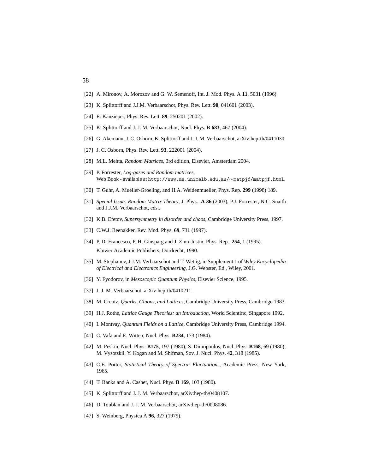- [22] A. Mironov, A. Morozov and G. W. Semenoff, Int. J. Mod. Phys. A **11**, 5031 (1996).
- [23] K. Splittorff and J.J.M. Verbaarschot, Phys. Rev. Lett. **90**, 041601 (2003).
- [24] E. Kanzieper, Phys. Rev. Lett. **89**, 250201 (2002).
- [25] K. Splittorff and J. J. M. Verbaarschot, Nucl. Phys. B **683**, 467 (2004).
- [26] G. Akemann, J. C. Osborn, K. Splittorff and J. J. M. Verbaarschot, arXiv:hep-th/0411030.
- [27] J. C. Osborn, Phys. Rev. Lett. **93**, 222001 (2004).
- [28] M.L. Mehta, *Random Matrices*, 3rd edition, Elsevier, Amsterdam 2004.
- [29] P. Forrester, *Log-gases and Random matrices*, Web Book - available at http://www.ms.unimelb.edu.au/∼matpjf/matpjf.html.
- [30] T. Guhr, A. Mueller-Groeling, and H.A. Weidenmueller, Phys. Rep. **299** (1998) 189.
- [31] *Special Issue: Random Matrix Theory*, J. Phys. **A 36** (2003), P.J. Forrester, N.C. Snaith and J.J.M. Verbaarschot, eds..
- [32] K.B. Efetov, *Supersymmetry in disorder and chaos*, Cambridge University Press, 1997.
- [33] C.W.J. Beenakker, Rev. Mod. Phys. **69**, 731 (1997).
- [34] P. Di Francesco, P. H. Ginsparg and J. Zinn-Justin, Phys. Rep. **254**, 1 (1995). Kluwer Academic Publishers, Dordrecht, 1990.
- [35] M. Stephanov, J.J.M. Verbaarschot and T. Wettig, in Supplement 1 of *Wiley Encyclopedia of Electrical and Electronics Engineering*, J.G. Webster, Ed., Wiley, 2001.
- [36] Y. Fyodorov, in *Mesoscopic Quantum Physics*, Elsevier Science, 1995.
- [37] J. J. M. Verbaarschot, arXiv:hep-th/0410211.
- [38] M. Creutz, *Quarks, Gluons, and Lattices*, Cambridge University Press, Cambridge 1983.
- [39] H.J. Rothe, *Lattice Gauge Theories: an Introduction*, World Scientific, Singapore 1992.
- [40] I. Montvay, *Quantum Fields on a Lattice*, Cambridge University Press, Cambridge 1994.
- [41] C. Vafa and E. Witten, Nucl. Phys. **B234**, 173 (1984).
- [42] M. Peskin, Nucl. Phys. **B175**, 197 (1980); S. Dimopoulos, Nucl. Phys. **B168**, 69 (1980); M. Vysotskii, Y. Kogan and M. Shifman, Sov. J. Nucl. Phys. **42**, 318 (1985).
- [43] C.E. Porter, *Statistical Theory of Spectra: Fluctuations*, Academic Press, New York, 1965.
- [44] T. Banks and A. Casher, Nucl. Phys. **B 169**, 103 (1980).
- [45] K. Splittorff and J. J. M. Verbaarschot, arXiv:hep-th/0408107.
- [46] D. Toublan and J. J. M. Verbaarschot, arXiv:hep-th/0008086.
- [47] S. Weinberg, Physica A **96**, 327 (1979).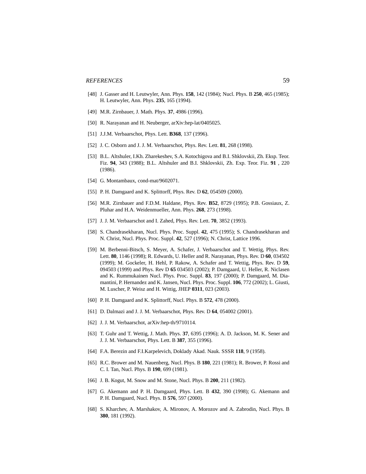- [48] J. Gasser and H. Leutwyler, Ann. Phys. **158**, 142 (1984); Nucl. Phys. B **250**, 465 (1985); H. Leutwyler, Ann. Phys. **235**, 165 (1994).
- [49] M.R. Zirnbauer, J. Math. Phys. **37**, 4986 (1996).
- [50] R. Narayanan and H. Neuberger, arXiv:hep-lat/0405025.
- [51] J.J.M. Verbaarschot, Phys. Lett. **B368**, 137 (1996).
- [52] J. C. Osborn and J. J. M. Verbaarschot, Phys. Rev. Lett. **81**, 268 (1998).
- [53] B.L. Altshuler, I.Kh. Zharekeshev, S.A. Kotochigova and B.I. Shklovskii, Zh. Eksp. Teor. Fiz. **94**, 343 (1988); B.L. Altshuler and B.I. Shklovskii, Zh. Exp. Teor. Fiz. **91** , 220 (1986).
- [54] G. Montambaux, cond-mat/9602071.
- [55] P. H. Damgaard and K. Splittorff, Phys. Rev. D **62**, 054509 (2000).
- [56] M.R. Zirnbauer and F.D.M. Haldane, Phys. Rev. **B52**, 8729 (1995); P.B. Gossiaux, Z. Pluhar and H.A. Weidenmueller, Ann. Phys. **268**, 273 (1998).
- [57] J. J. M. Verbaarschot and I. Zahed, Phys. Rev. Lett. **70**, 3852 (1993).
- [58] S. Chandrasekharan, Nucl. Phys. Proc. Suppl. **42**, 475 (1995); S. Chandrasekharan and N. Christ, Nucl. Phys. Proc. Suppl. **42**, 527 (1996); N. Christ, Lattice 1996.
- [59] M. Berbenni-Bitsch, S. Meyer, A. Schafer, J. Verbaarschot and T. Wettig, Phys. Rev. Lett. **80**, 1146 (1998); R. Edwards, U. Heller and R. Narayanan, Phys. Rev. D **60**, 034502 (1999); M. Gockeler, H. Hehl, P. Rakow, A. Schafer and T. Wettig, Phys. Rev. D **59**, 094503 (1999) and Phys. Rev D **65** 034503 (2002); P. Damgaard, U. Heller, R. Niclasen and K. Rummukainen Nucl. Phys. Proc. Suppl. **83**, 197 (2000); P. Damgaard, M. Diamantini, P. Hernandez and K. Jansen, Nucl. Phys. Proc. Suppl. **106**, 772 (2002); L. Giusti, M. Luscher, P. Weisz and H. Wittig, JHEP **0311**, 023 (2003).
- [60] P. H. Damgaard and K. Splittorff, Nucl. Phys. B **572**, 478 (2000).
- [61] D. Dalmazi and J. J. M. Verbaarschot, Phys. Rev. D **64**, 054002 (2001).
- [62] J. J. M. Verbaarschot, arXiv:hep-th/9710114.
- [63] T. Guhr and T. Wettig, J. Math. Phys. **37**, 6395 (1996); A. D. Jackson, M. K. Sener and J. J. M. Verbaarschot, Phys. Lett. B **387**, 355 (1996).
- [64] F.A. Berezin and F.I.Karpelevich, Doklady Akad. Nauk. SSSR **118**, 9 (1958).
- [65] R.C. Brower and M. Nauenberg, Nucl. Phys. B **180**, 221 (1981); R. Brower, P. Rossi and C. I. Tan, Nucl. Phys. B **190**, 699 (1981).
- [66] J. B. Kogut, M. Snow and M. Stone, Nucl. Phys. B **200**, 211 (1982).
- [67] G. Akemann and P. H. Damgaard, Phys. Lett. B **432**, 390 (1998); G. Akemann and P. H. Damgaard, Nucl. Phys. B **576**, 597 (2000).
- [68] S. Kharchev, A. Marshakov, A. Mironov, A. Morozov and A. Zabrodin, Nucl. Phys. B **380**, 181 (1992).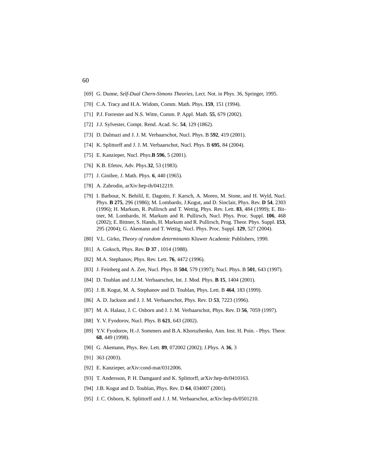- [69] G. Dunne, *Self-Dual Chern-Simons Theories*, Lect. Not. in Phys. 36, Springer, 1995.
- [70] C.A. Tracy and H.A. Widom, Comm. Math. Phys. **159**, 151 (1994).
- [71] P.J. Forrester and N.S. Witte, Comm. P. Appl. Math. **55**, 679 (2002).
- [72] J.J. Sylvester, Compt. Rend. Acad. Sc. **54**, 129 (1862).
- [73] D. Dalmazi and J. J. M. Verbaarschot, Nucl. Phys. B **592**, 419 (2001).
- [74] K. Splittorff and J. J. M. Verbaarschot, Nucl. Phys. B **695**, 84 (2004).
- [75] E. Kanzieper, Nucl. Phys.**B 596**, 5 (2001).
- [76] K.B. Efetov, Adv. Phys.**32**, 53 (1983).
- [77] J. Ginibre, J. Math. Phys. **6**, 440 (1965).
- [78] A. Zabrodin, arXiv:hep-th/0412219.
- [79] I. Barbour, N. Behilil, E. Dagotto, F. Karsch, A. Moreo, M. Stone, and H. Wyld, Nucl. Phys. **B 275**, 296 (1986); M. Lombardo, J.Kogut, and D. Sinclair, Phys. Rev. **D 54**, 2303 (1996); H. Markum, R. Pullirsch and T. Wettig, Phys. Rev. Lett. **83**, 484 (1999); E. Bittner, M. Lombardo, H. Markum and R. Pullirsch, Nucl. Phys. Proc. Suppl. **106**, 468 (2002); E. Bittner, S. Hands, H. Markum and R. Pullirsch, Prog. Theor. Phys. Suppl. **153**, 295 (2004); G. Akemann and T. Wettig, Nucl. Phys. Proc. Suppl. **129**, 527 (2004).
- [80] V.L. Girko, *Theory of random determinants* Kluwer Academic Publishers, 1990.
- [81] A. Goksch, Phys. Rev. **D 37** , 1014 (1988).
- [82] M.A. Stephanov, Phys. Rev. Lett. **76**, 4472 (1996).
- [83] J. Feinberg and A. Zee, Nucl. Phys. B **504**, 579 (1997); Nucl. Phys. B **501**, 643 (1997).
- [84] D. Toublan and J.J.M. Verbaarschot, Int. J. Mod. Phys. **B 15**, 1404 (2001).
- [85] J. B. Kogut, M. A. Stephanov and D. Toublan, Phys. Lett. B **464**, 183 (1999).
- [86] A. D. Jackson and J. J. M. Verbaarschot, Phys. Rev. D **53**, 7223 (1996).
- [87] M. A. Halasz, J. C. Osborn and J. J. M. Verbaarschot, Phys. Rev. D **56**, 7059 (1997).
- [88] Y. V. Fyodorov, Nucl. Phys. B **621**, 643 (2002).
- [89] Y.V. Fyodorov, H.-J. Sommers and B.A. Khoruzhenko, Ann. Inst. H. Poin. Phys. Theor. **68**, 449 (1998).
- [90] G. Akemann, Phys. Rev. Lett. **89**, 072002 (2002); J.Phys. A **36**, 3
- [91] 363 (2003).
- [92] E. Kanzieper, arXiv:cond-mat/0312006.
- [93] T. Andersson, P. H. Damgaard and K. Splittorff, arXiv:hep-th/0410163.
- [94] J.B. Kogut and D. Toublan, Phys. Rev. D **64**, 034007 (2001).
- [95] J. C. Osborn, K. Splittorff and J. J. M. Verbaarschot, arXiv:hep-th/0501210.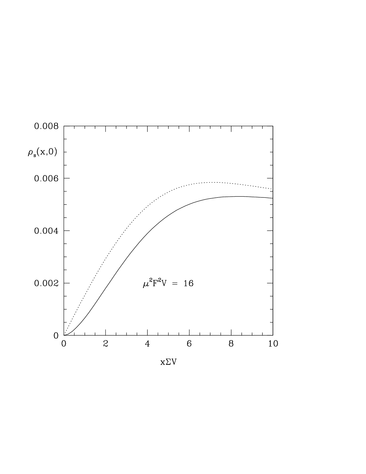